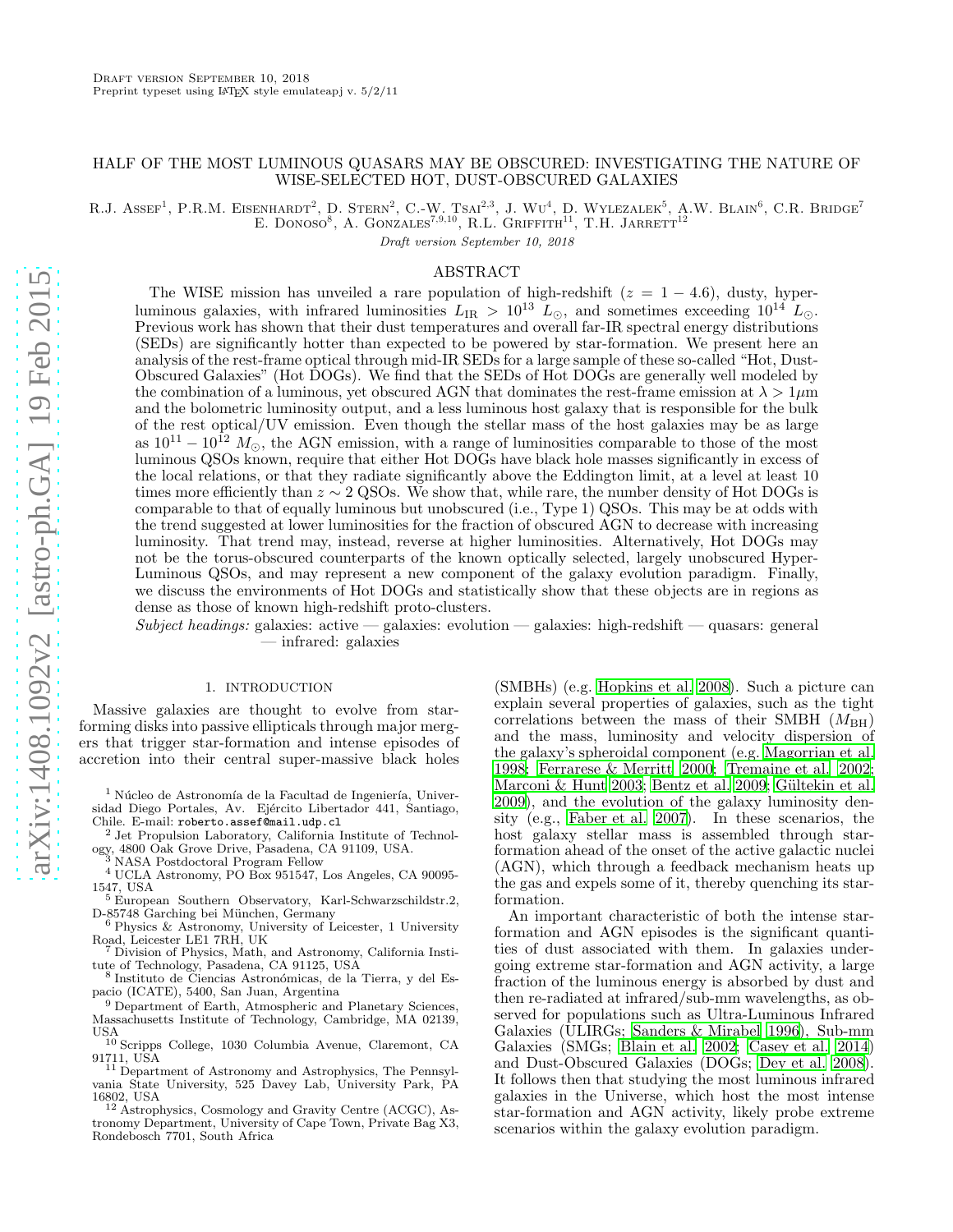# HALF OF THE MOST LUMINOUS QUASARS MAY BE OBSCURED: INVESTIGATING THE NATURE OF WISE-SELECTED HOT, DUST-OBSCURED GALAXIES

R.J. ASSEF<sup>1</sup>, P.R.M. EISENHARDT<sup>2</sup>, D. STERN<sup>2</sup>, C.-W. TSAI<sup>2,3</sup>, J. WU<sup>4</sup>, D. WYLEZALEK<sup>5</sup>, A.W. BLAIN<sup>6</sup>, C.R. BRIDGE<sup>7</sup> E. DONOSO<sup>8</sup>, A. GONZALES<sup>7,9,10</sup>, R.L. GRIFFITH<sup>11</sup>, T.H. JARRETT<sup>12</sup>

Draft version September 10, 2018

## ABSTRACT

The WISE mission has unveiled a rare population of high-redshift ( $z = 1 - 4.6$ ), dusty, hyperluminous galaxies, with infrared luminosities  $L_{IR} > 10^{13}$  L<sub>☉</sub>, and sometimes exceeding  $10^{14}$  L<sub>☉</sub>. Previous work has shown that their dust temperatures and overall far-IR spectral energy distributions (SEDs) are significantly hotter than expected to be powered by star-formation. We present here an analysis of the rest-frame optical through mid-IR SEDs for a large sample of these so-called "Hot, Dust-Obscured Galaxies" (Hot DOGs). We find that the SEDs of Hot DOGs are generally well modeled by the combination of a luminous, yet obscured AGN that dominates the rest-frame emission at  $\lambda > 1 \mu m$ and the bolometric luminosity output, and a less luminous host galaxy that is responsible for the bulk of the rest optical/UV emission. Even though the stellar mass of the host galaxies may be as large as  $10^{11} - 10^{12} M_{\odot}$ , the AGN emission, with a range of luminosities comparable to those of the most luminous QSOs known, require that either Hot DOGs have black hole masses significantly in excess of the local relations, or that they radiate significantly above the Eddington limit, at a level at least 10 times more efficiently than  $z \sim 2$  QSOs. We show that, while rare, the number density of Hot DOGs is comparable to that of equally luminous but unobscured (i.e., Type 1) QSOs. This may be at odds with the trend suggested at lower luminosities for the fraction of obscured AGN to decrease with increasing luminosity. That trend may, instead, reverse at higher luminosities. Alternatively, Hot DOGs may not be the torus-obscured counterparts of the known optically selected, largely unobscured Hyper-Luminous QSOs, and may represent a new component of the galaxy evolution paradigm. Finally, we discuss the environments of Hot DOGs and statistically show that these objects are in regions as dense as those of known high-redshift proto-clusters.

 $Subject, headings: galaxies: active - galaxies: evolution - galaxies: high-redshift - quasars: general$ — infrared: galaxies

### 1. INTRODUCTION

Massive galaxies are thought to evolve from starforming disks into passive ellipticals through major mergers that trigger star-formation and intense episodes of accretion into their central super-massive black holes

 $1$  Núcleo de Astronomía de la Facultad de Ingeniería, Universidad Diego Portales, Av. Ejército Libertador 441, Santiago, Chile. E-mail: roberto.assef@mail.udp.cl

<sup>2</sup> Jet Propulsion Laboratory, California Institute of Technology, 4800 Oak Grove Drive, Pasadena, CA 91109, USA.<br><sup>3</sup> NASA Boot de Drive, Pasadena, CA 91109, USA.

<sup>3</sup> NASA Postdoctoral Program Fellow

<sup>4</sup> UCLA Astronomy, PO Box 951547, Los Angeles, CA 90095- 1547, USA

<sup>5</sup> European Southern Observatory, Karl-Schwarzschildstr.2, D-85748 Garching bei München, Germany<br><sup>6</sup> Physics & Astronomy, University of Leicester, 1 University

Road, Leicester LE1 7RH, UK

Division of Physics, Math, and Astronomy, California Institute of Technology, Pasadena, CA 91125, USA

8 Instituto de Ciencias Astronómicas, de la Tierra, y del Espacio (ICATE), 5400, San Juan, Argentina

<sup>9</sup> Department of Earth, Atmospheric and Planetary Sciences, Massachusetts Institute of Technology, Cambridge, MA 02139, **IISA** 

<sup>10</sup> Scripps College, 1030 Columbia Avenue, Claremont, CA

91711, USA<br><sup>11</sup> Department of Astronomy and Astrophysics, The Pennsylvania State University, 525 Davey Lab, University Park, PA 16802, USA

<sup>2</sup> Astrophysics, Cosmology and Gravity Centre (ACGC), Astronomy Department, University of Cape Town, Private Bag X3, Rondebosch 7701, South Africa

(SMBHs) (e.g. [Hopkins et al. 2008\)](#page-14-0). Such a picture can explain several properties of galaxies, such as the tight correlations between the mass of their SMBH  $(M_{BH})$ and the mass, luminosity and velocity dispersion of the galaxy's spheroidal component (e.g. [Magorrian et al.](#page-14-1) [1998;](#page-14-1) [Ferrarese & Merritt 2000](#page-14-2); [Tremaine et al. 2002](#page-15-0); [Marconi & Hunt 2003;](#page-14-3) [Bentz et al. 2009;](#page-14-4) Gültekin et al. [2009\)](#page-14-5), and the evolution of the galaxy luminosity density (e.g., [Faber et al. 2007](#page-14-6)). In these scenarios, the host galaxy stellar mass is assembled through starformation ahead of the onset of the active galactic nuclei (AGN), which through a feedback mechanism heats up the gas and expels some of it, thereby quenching its starformation.

An important characteristic of both the intense starformation and AGN episodes is the significant quantities of dust associated with them. In galaxies undergoing extreme star-formation and AGN activity, a large fraction of the luminous energy is absorbed by dust and then re-radiated at infrared/sub-mm wavelengths, as observed for populations such as Ultra-Luminous Infrared Galaxies (ULIRGs; [Sanders & Mirabel 1996\)](#page-15-1), Sub-mm Galaxies (SMGs; [Blain et al. 2002;](#page-14-7) [Casey et al. 2014](#page-14-8)) and Dust-Obscured Galaxies (DOGs; [Dey et al. 2008](#page-14-9)). It follows then that studying the most luminous infrared galaxies in the Universe, which host the most intense star-formation and AGN activity, likely probe extreme scenarios within the galaxy evolution paradigm.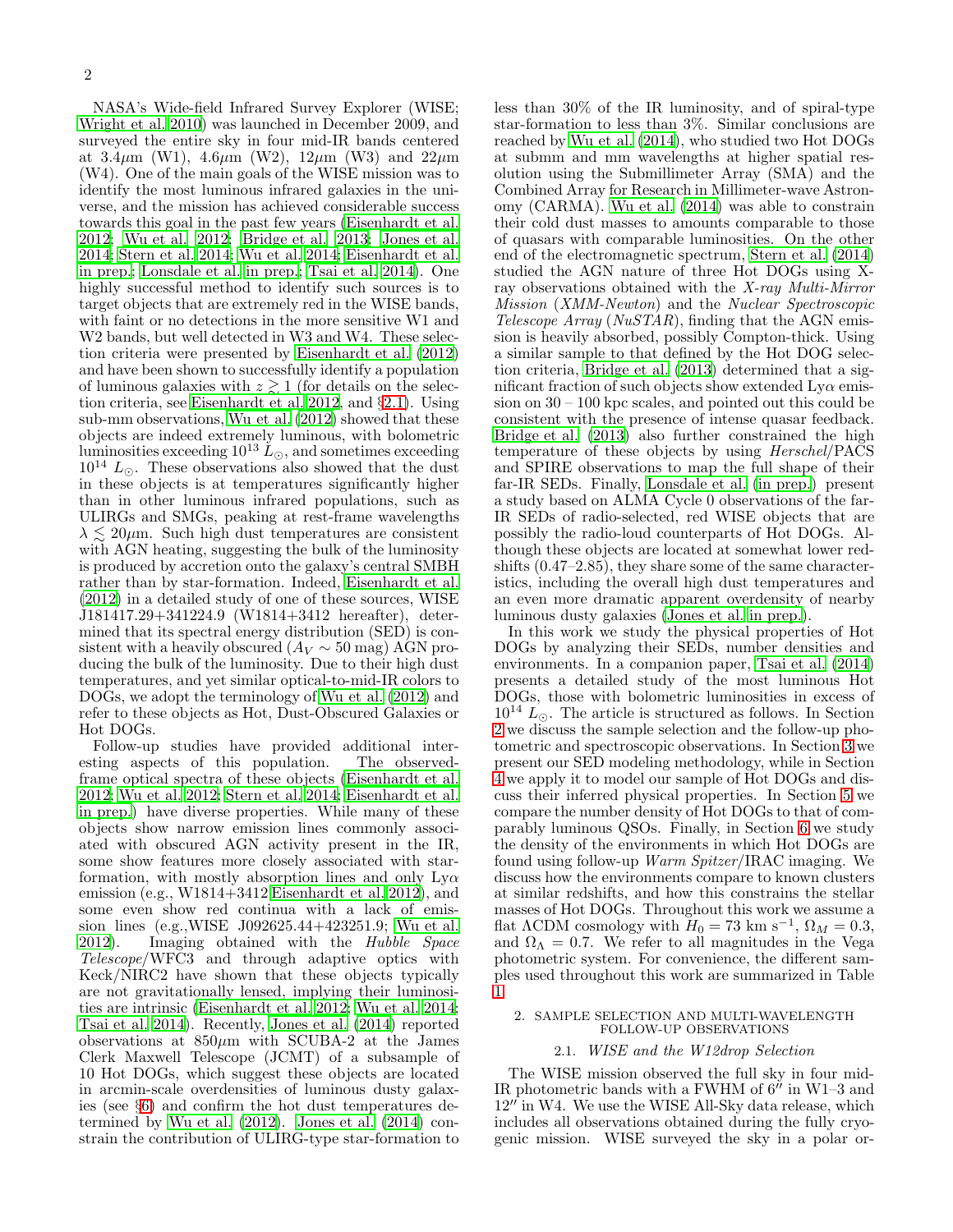NASA's Wide-field Infrared Survey Explorer (WISE; [Wright et al. 2010](#page-15-2)) was launched in December 2009, and surveyed the entire sky in four mid-IR bands centered at  $3.4\mu$ m (W1),  $4.6\mu$ m (W2),  $12\mu$ m (W3) and  $22\mu$ m (W4). One of the main goals of the WISE mission was to identify the most luminous infrared galaxies in the universe, and the mission has achieved considerable success towards this goal in the past few years [\(Eisenhardt et al.](#page-14-10) [2012;](#page-14-10) [Wu et al. 2012;](#page-15-3) [Bridge et al. 2013;](#page-14-11) [Jones et al.](#page-14-12) [2014;](#page-14-12) [Stern et al. 2014;](#page-15-4) [Wu et al. 2014;](#page-15-5) [Eisenhardt et al.](#page-14-13) [in prep.;](#page-14-13) [Lonsdale et al. in prep.;](#page-14-14) [Tsai et al. 2014\)](#page-15-6). One highly successful method to identify such sources is to target objects that are extremely red in the WISE bands, with faint or no detections in the more sensitive W1 and W<sub>2</sub> bands, but well detected in W<sub>3</sub> and W<sub>4</sub>. These selection criteria were presented by [Eisenhardt et al. \(2012](#page-14-10)) and have been shown to successfully identify a population of luminous galaxies with  $z \gtrsim 1$  (for details on the selection criteria, see [Eisenhardt et al. 2012](#page-14-10), and §[2.1\)](#page-1-0). Using sub-mm observations, [Wu et al. \(2012\)](#page-15-3) showed that these objects are indeed extremely luminous, with bolometric luminosities exceeding  $10^{13} L_{\odot}$ , and sometimes exceeding  $10^{14}$  L<sub>☉</sub>. These observations also showed that the dust in these objects is at temperatures significantly higher than in other luminous infrared populations, such as ULIRGs and SMGs, peaking at rest-frame wavelengths  $\lambda \leq 20 \mu$ m. Such high dust temperatures are consistent with AGN heating, suggesting the bulk of the luminosity is produced by accretion onto the galaxy's central SMBH rather than by star-formation. Indeed, [Eisenhardt et al.](#page-14-10) [\(2012\)](#page-14-10) in a detailed study of one of these sources, WISE J181417.29+341224.9 (W1814+3412 hereafter), determined that its spectral energy distribution (SED) is consistent with a heavily obscured ( $A_V \sim 50$  mag) AGN producing the bulk of the luminosity. Due to their high dust temperatures, and yet similar optical-to-mid-IR colors to DOGs, we adopt the terminology of [Wu et al. \(2012\)](#page-15-3) and refer to these objects as Hot, Dust-Obscured Galaxies or Hot DOGs.

Follow-up studies have provided additional interesting aspects of this population. The observedframe optical spectra of these objects [\(Eisenhardt et al.](#page-14-10) [2012;](#page-14-10) [Wu et al. 2012;](#page-15-3) [Stern et al. 2014;](#page-15-4) [Eisenhardt et al.](#page-14-13) [in prep.\)](#page-14-13) have diverse properties. While many of these objects show narrow emission lines commonly associated with obscured AGN activity present in the IR, some show features more closely associated with starformation, with mostly absorption lines and only  $Ly\alpha$ emission (e.g., W1814+3412 [Eisenhardt et al. 2012\)](#page-14-10), and some even show red continua with a lack of emission lines (e.g.,WISE J092625.44+423251.9; [Wu et al.](#page-15-3) [2012\)](#page-15-3). Imaging obtained with the Hubble Space Telescope/WFC3 and through adaptive optics with Keck/NIRC2 have shown that these objects typically are not gravitationally lensed, implying their luminosities are intrinsic [\(Eisenhardt et al. 2012](#page-14-10); [Wu et al. 2014;](#page-15-5) [Tsai et al. 2014\)](#page-15-6). Recently, [Jones et al. \(2014\)](#page-14-12) reported observations at  $850\mu m$  with SCUBA-2 at the James Clerk Maxwell Telescope (JCMT) of a subsample of 10 Hot DOGs, which suggest these objects are located in arcmin-scale overdensities of luminous dusty galaxies (see §[6\)](#page-11-0) and confirm the hot dust temperatures determined by [Wu et al. \(2012](#page-15-3)). [Jones et al. \(2014\)](#page-14-12) constrain the contribution of ULIRG-type star-formation to less than 30% of the IR luminosity, and of spiral-type star-formation to less than 3%. Similar conclusions are reached by [Wu et al. \(2014\)](#page-15-5), who studied two Hot DOGs at submm and mm wavelengths at higher spatial resolution using the Submillimeter Array (SMA) and the Combined Array for Research in Millimeter-wave Astronomy (CARMA). [Wu et al. \(2014\)](#page-15-5) was able to constrain their cold dust masses to amounts comparable to those of quasars with comparable luminosities. On the other end of the electromagnetic spectrum, [Stern et al. \(2014](#page-15-4)) studied the AGN nature of three Hot DOGs using Xray observations obtained with the X-ray Multi-Mirror Mission (XMM-Newton) and the Nuclear Spectroscopic Telescope  $Array (NuSTAR)$ , finding that the AGN emission is heavily absorbed, possibly Compton-thick. Using a similar sample to that defined by the Hot DOG selection criteria, [Bridge et al. \(2013](#page-14-11)) determined that a significant fraction of such objects show extended  $Ly\alpha$  emission on 30 – 100 kpc scales, and pointed out this could be consistent with the presence of intense quasar feedback. [Bridge et al. \(2013](#page-14-11)) also further constrained the high temperature of these objects by using Herschel/PACS and SPIRE observations to map the full shape of their far-IR SEDs. Finally, [Lonsdale et al. \(in prep.](#page-14-14)) present a study based on ALMA Cycle 0 observations of the far-IR SEDs of radio-selected, red WISE objects that are possibly the radio-loud counterparts of Hot DOGs. Although these objects are located at somewhat lower redshifts (0.47–2.85), they share some of the same characteristics, including the overall high dust temperatures and an even more dramatic apparent overdensity of nearby luminous dusty galaxies [\(Jones et al. in prep.](#page-14-15)).

In this work we study the physical properties of Hot DOGs by analyzing their SEDs, number densities and environments. In a companion paper, [Tsai et al. \(2014](#page-15-6)) presents a detailed study of the most luminous Hot DOGs, those with bolometric luminosities in excess of  $10^{14}$  L<sub>⊙</sub>. The article is structured as follows. In Section [2](#page-1-1) we discuss the sample selection and the follow-up photometric and spectroscopic observations. In Section [3](#page-3-0) we present our SED modeling methodology, while in Section [4](#page-5-0) we apply it to model our sample of Hot DOGs and discuss their inferred physical properties. In Section [5](#page-9-0) we compare the number density of Hot DOGs to that of comparably luminous QSOs. Finally, in Section [6](#page-11-0) we study the density of the environments in which Hot DOGs are found using follow-up Warm Spitzer/IRAC imaging. We discuss how the environments compare to known clusters at similar redshifts, and how this constrains the stellar masses of Hot DOGs. Throughout this work we assume a flat  $\Lambda$ CDM cosmology with  $H_0 = 73 \text{ km s}^{-1}$ ,  $\Omega_M = 0.3$ , and  $\Omega_{\Lambda} = 0.7$ . We refer to all magnitudes in the Vega photometric system. For convenience, the different samples used throughout this work are summarized in Table [1.](#page-2-0)

### <span id="page-1-1"></span><span id="page-1-0"></span>2. SAMPLE SELECTION AND MULTI-WAVELENGTH FOLLOW-UP OBSERVATIONS

# 2.1. WISE and the W12drop Selection

The WISE mission observed the full sky in four mid-IR photometric bands with a FWHM of  $6''$  in W1–3 and 12<sup>"</sup> in W4. We use the WISE All-Sky data release, which includes all observations obtained during the fully cryogenic mission. WISE surveyed the sky in a polar or-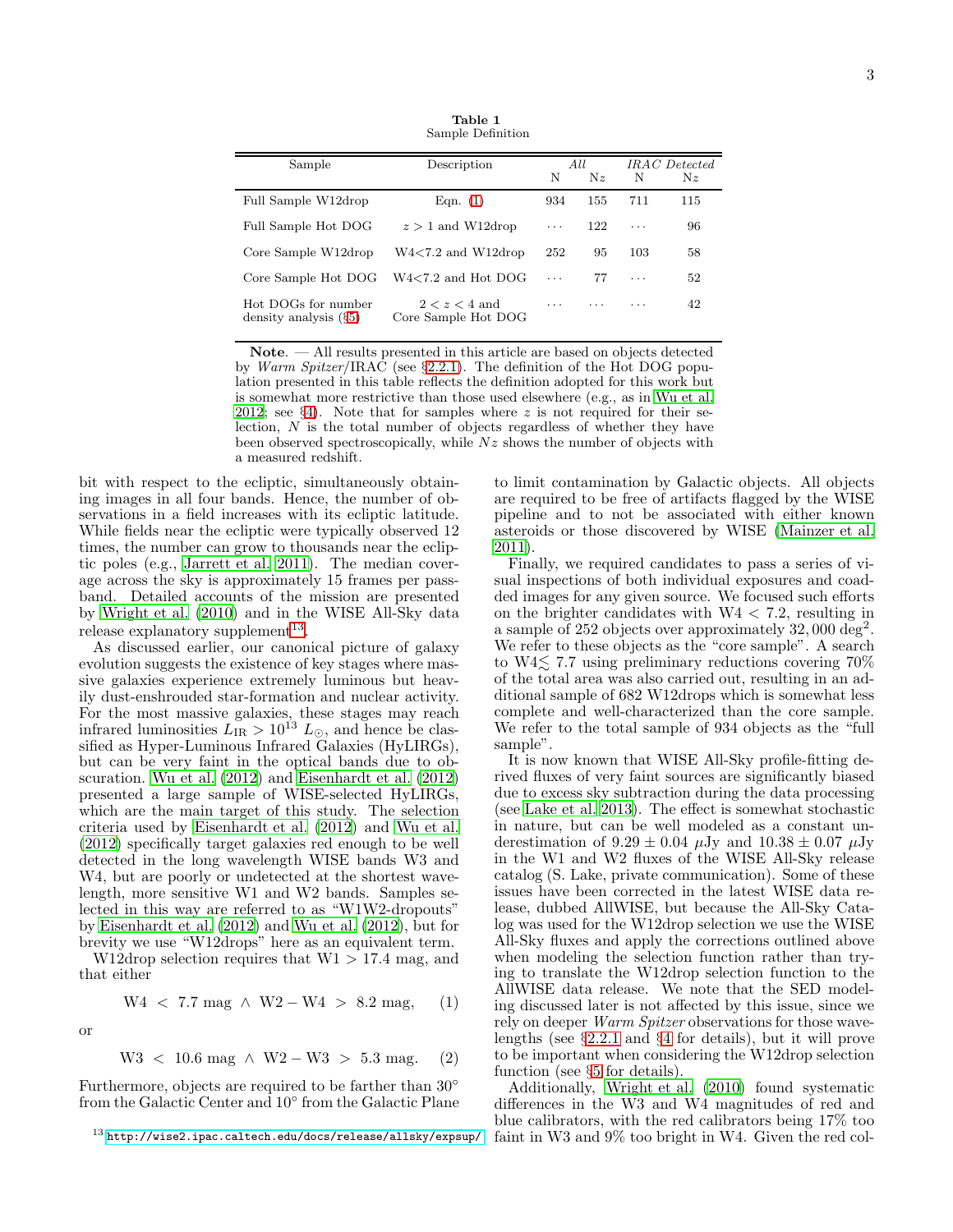Table 1 Sample Definition

<span id="page-2-0"></span>

| Sample                                          | Description<br>N                       |          | All<br>Nz | IRAC Detected<br>N<br>$N_{\rm z}$ |     |
|-------------------------------------------------|----------------------------------------|----------|-----------|-----------------------------------|-----|
| Full Sample W12drop                             | Eqn. $(1)$                             | 934      | 155       | 711                               | 115 |
| Full Sample Hot DOG                             | $z > 1$ and W12drop                    | $\cdots$ | 122       | $\cdots$                          | 96  |
| Core Sample W12drop                             | $W4<7.2$ and $W12$ drop                | 252      | 95        | 103                               | 58  |
| Core Sample Hot DOG                             | $W4<7.2$ and Hot DOG                   | .        | 77        | $\cdots$                          | 52  |
| Hot DOGs for number<br>density analysis $(\S5)$ | $2 < z < 4$ and<br>Core Sample Hot DOG | $\cdots$ | .         | .                                 | 42  |

Note. — All results presented in this article are based on objects detected by Warm Spitzer/IRAC (see §[2.2.1\)](#page-3-1). The definition of the Hot DOG population presented in this table reflects the definition adopted for this work but is somewhat more restrictive than those used elsewhere (e.g., as in [Wu et al.](#page-15-3) [2012](#page-15-3); see  $\S 4$ ). Note that for samples where z is not required for their selection,  $N$  is the total number of objects regardless of whether they have been observed spectroscopically, while  $Nz$  shows the number of objects with a measured redshift.

bit with respect to the ecliptic, simultaneously obtaining images in all four bands. Hence, the number of observations in a field increases with its ecliptic latitude. While fields near the ecliptic were typically observed 12 times, the number can grow to thousands near the ecliptic poles (e.g., [Jarrett et al. 2011\)](#page-14-16). The median coverage across the sky is approximately 15 frames per passband. Detailed accounts of the mission are presented by [Wright et al. \(2010\)](#page-15-2) and in the WISE All-Sky data release explanatory supplement<sup>[13](#page-2-2)</sup>.

As discussed earlier, our canonical picture of galaxy evolution suggests the existence of key stages where massive galaxies experience extremely luminous but heavily dust-enshrouded star-formation and nuclear activity. For the most massive galaxies, these stages may reach infrared luminosities  $L_{IR} \geq 10^{13} L_{\odot}$ , and hence be classified as Hyper-Luminous Infrared Galaxies (HyLIRGs), but can be very faint in the optical bands due to obscuration. [Wu et al. \(2012](#page-15-3)) and [Eisenhardt et al. \(2012](#page-14-10)) presented a large sample of WISE-selected HyLIRGs, which are the main target of this study. The selection criteria used by [Eisenhardt et al. \(2012\)](#page-14-10) and [Wu et al.](#page-15-3) [\(2012\)](#page-15-3) specifically target galaxies red enough to be well detected in the long wavelength WISE bands W3 and W4, but are poorly or undetected at the shortest wavelength, more sensitive W1 and W2 bands. Samples selected in this way are referred to as "W1W2-dropouts" by [Eisenhardt et al. \(2012\)](#page-14-10) and [Wu et al. \(2012\)](#page-15-3), but for brevity we use "W12drops" here as an equivalent term.

W12drop selection requires that  $W1 > 17.4$  mag, and that either

<span id="page-2-1"></span>
$$
W4 < 7.7 \text{ mag} \land W2 - W4 > 8.2 \text{ mag}, \quad (1)
$$

or

$$
W3 < 10.6 \text{ mag} \land W2 - W3 > 5.3 \text{ mag.} \quad (2)
$$

Furthermore, objects are required to be farther than 30° from the Galactic Center and 10° from the Galactic Plane

to limit contamination by Galactic objects. All objects are required to be free of artifacts flagged by the WISE pipeline and to not be associated with either known asteroids or those discovered by WISE [\(Mainzer et al.](#page-14-17) [2011\)](#page-14-17).

Finally, we required candidates to pass a series of visual inspections of both individual exposures and coadded images for any given source. We focused such efforts on the brighter candidates with  $W4 < 7.2$ , resulting in a sample of 252 objects over approximately  $32,000 \text{ deg}^2$ . We refer to these objects as the "core sample". A search to W4 $\lesssim$  7.7 using preliminary reductions covering 70% of the total area was also carried out, resulting in an additional sample of 682 W12drops which is somewhat less complete and well-characterized than the core sample. We refer to the total sample of 934 objects as the "full sample".

It is now known that WISE All-Sky profile-fitting derived fluxes of very faint sources are significantly biased due to excess sky subtraction during the data processing (see [Lake et al. 2013](#page-14-18)). The effect is somewhat stochastic in nature, but can be well modeled as a constant underestimation of  $9.29 \pm 0.04$   $\mu$ Jy and  $10.38 \pm 0.07$   $\mu$ Jy in the W1 and W2 fluxes of the WISE All-Sky release catalog (S. Lake, private communication). Some of these issues have been corrected in the latest WISE data release, dubbed AllWISE, but because the All-Sky Catalog was used for the W12drop selection we use the WISE All-Sky fluxes and apply the corrections outlined above when modeling the selection function rather than trying to translate the W12drop selection function to the AllWISE data release. We note that the SED modeling discussed later is not affected by this issue, since we rely on deeper *Warm Spitzer* observations for those wavelengths (see §[2.2.1](#page-3-1) and §[4](#page-5-0) for details), but it will prove to be important when considering the W12drop selection function (see §[5](#page-9-0) for details).

Additionally, [Wright et al. \(2010\)](#page-15-2) found systematic differences in the W3 and W4 magnitudes of red and blue calibrators, with the red calibrators being 17% too faint in W3 and 9% too bright in W4. Given the red col-

<span id="page-2-2"></span> $^{13}$ <http://wise2.ipac.caltech.edu/docs/release/allsky/expsup/>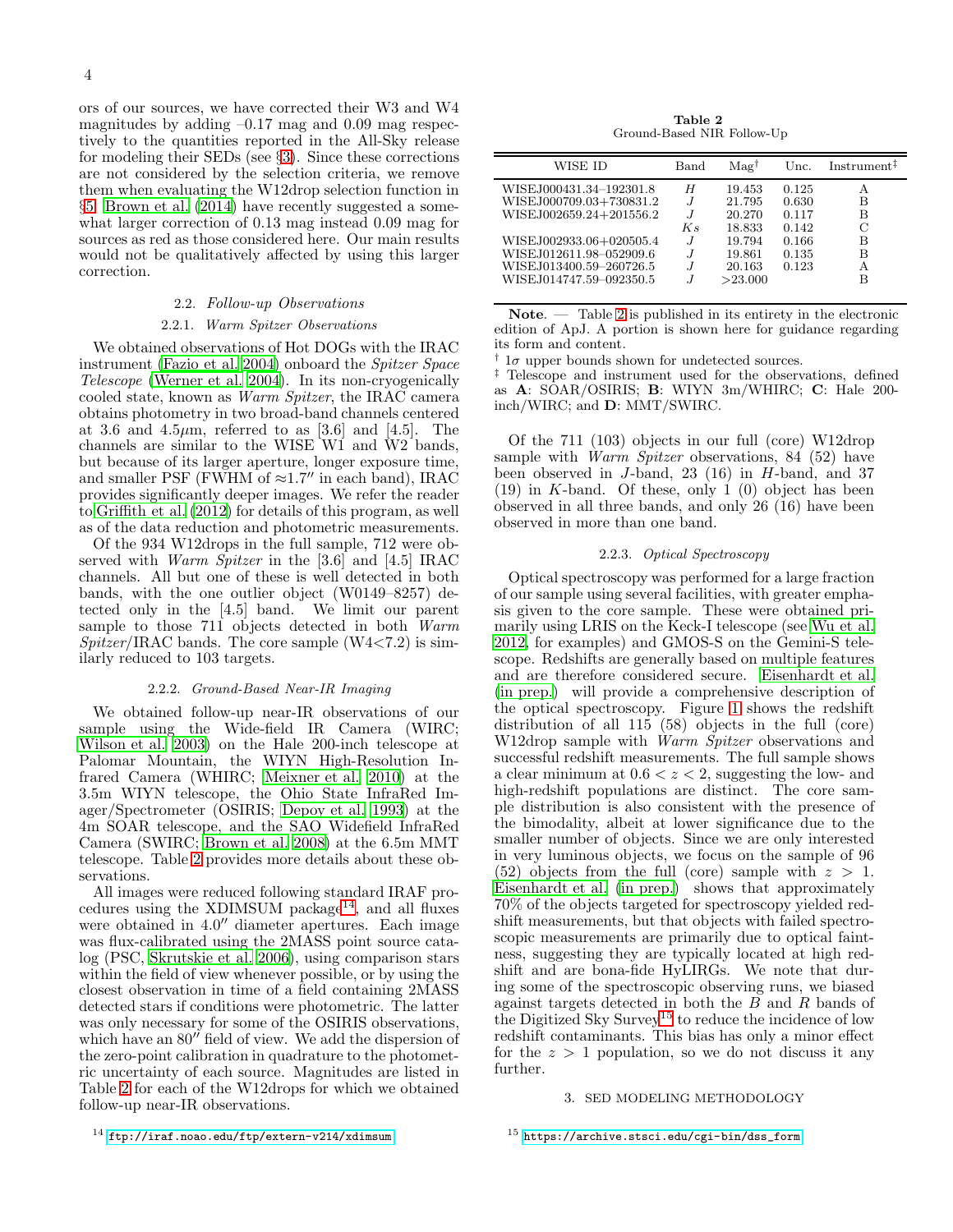ors of our sources, we have corrected their W3 and W4 magnitudes by adding  $-0.17$  mag and  $0.09$  mag respectively to the quantities reported in the All-Sky release for modeling their SEDs (see §[3\)](#page-3-0). Since these corrections are not considered by the selection criteria, we remove them when evaluating the W12drop selection function in §[5.](#page-9-0) [Brown et al. \(2014\)](#page-14-19) have recently suggested a somewhat larger correction of 0.13 mag instead 0.09 mag for sources as red as those considered here. Our main results would not be qualitatively affected by using this larger correction.

### 2.2. Follow-up Observations

### 2.2.1. Warm Spitzer Observations

<span id="page-3-1"></span>We obtained observations of Hot DOGs with the IRAC instrument [\(Fazio et al. 2004](#page-14-20)) onboard the Spitzer Space Telescope [\(Werner et al. 2004\)](#page-15-7). In its non-cryogenically cooled state, known as Warm Spitzer, the IRAC camera obtains photometry in two broad-band channels centered at 3.6 and 4.5 $\mu$ m, referred to as [3.6] and [4.5]. The channels are similar to the WISE  $W1$  and  $W2$  bands, but because of its larger aperture, longer exposure time, and smaller PSF (FWHM of  $\approx 1.7''$  in each band), IRAC provides significantly deeper images. We refer the reader to [Griffith et al. \(2012\)](#page-14-21) for details of this program, as well as of the data reduction and photometric measurements.

Of the 934 W12drops in the full sample, 712 were observed with *Warm Spitzer* in the [3.6] and [4.5] IRAC channels. All but one of these is well detected in both bands, with the one outlier object (W0149–8257) detected only in the [4.5] band. We limit our parent sample to those 711 objects detected in both Warm  $Spitzer/IRAC$  bands. The core sample  $(W4<7.2)$  is similarly reduced to 103 targets.

### 2.2.2. Ground-Based Near-IR Imaging

We obtained follow-up near-IR observations of our sample using the Wide-field IR Camera (WIRC; [Wilson et al. 2003\)](#page-15-8) on the Hale 200-inch telescope at Palomar Mountain, the WIYN High-Resolution Infrared Camera (WHIRC; [Meixner et al. 2010\)](#page-14-22) at the 3.5m WIYN telescope, the Ohio State InfraRed Imager/Spectrometer (OSIRIS; [Depoy et al. 1993](#page-14-23)) at the 4m SOAR telescope, and the SAO Widefield InfraRed Camera (SWIRC; [Brown et al. 2008\)](#page-14-24) at the 6.5m MMT telescope. Table [2](#page-3-2) provides more details about these observations.

All images were reduced following standard IRAF pro-cedures using the XDIMSUM package<sup>[14](#page-3-3)</sup>, and all fluxes were obtained in 4.0′′ diameter apertures. Each image was flux-calibrated using the 2MASS point source catalog (PSC, [Skrutskie et al. 2006\)](#page-15-9), using comparison stars within the field of view whenever possible, or by using the closest observation in time of a field containing 2MASS detected stars if conditions were photometric. The latter was only necessary for some of the OSIRIS observations, which have an 80<sup>''</sup> field of view. We add the dispersion of the zero-point calibration in quadrature to the photometric uncertainty of each source. Magnitudes are listed in Table [2](#page-3-2) for each of the W12drops for which we obtained follow-up near-IR observations.

Table 2 Ground-Based NIR Follow-Up

<span id="page-3-2"></span>

| WISE ID                                                                                                                                                                                    | Band                  | $\text{Ma}e^{\dagger}$                                                        | Unc.                                                        | $Instrument$ <sup><math>\ddagger</math></sup> |
|--------------------------------------------------------------------------------------------------------------------------------------------------------------------------------------------|-----------------------|-------------------------------------------------------------------------------|-------------------------------------------------------------|-----------------------------------------------|
| WISEJ000431.34-192301.8<br>WISEJ000709.03+730831.2<br>WISEJ002659.24+201556.2<br>WISEJ002933.06+020505.4<br>WISEJ012611.98-052909.6<br>WISEJ013400.59-260726.5<br>WISE.J014747.59-092350.5 | Н<br>K s<br>$\cdot$ T | 19.453<br>21.795<br>20.270<br>18.833<br>19.794<br>19.861<br>20.163<br>>23.000 | 0.125<br>0.630<br>0.117<br>0.142<br>0.166<br>0.135<br>0.123 | А<br>в<br>в<br>С<br>в<br>В<br>А<br>R          |

Note. — Table [2](#page-3-2) is published in its entirety in the electronic edition of ApJ. A portion is shown here for guidance regarding its form and content.

<sup>†</sup>  $1\sigma$  upper bounds shown for undetected sources.

‡ Telescope and instrument used for the observations, defined as A: SOAR/OSIRIS; B: WIYN 3m/WHIRC; C: Hale 200 inch/WIRC; and D: MMT/SWIRC.

Of the 711 (103) objects in our full (core) W12drop sample with *Warm Spitzer* observations, 84 (52) have been observed in J-band,  $23(16)$  in H-band, and 37 (19) in K-band. Of these, only 1 (0) object has been observed in all three bands, and only 26 (16) have been observed in more than one band.

### 2.2.3. Optical Spectroscopy

<span id="page-3-5"></span>Optical spectroscopy was performed for a large fraction of our sample using several facilities, with greater emphasis given to the core sample. These were obtained primarily using LRIS on the Keck-I telescope (see [Wu et al.](#page-15-3) [2012,](#page-15-3) for examples) and GMOS-S on the Gemini-S telescope. Redshifts are generally based on multiple features and are therefore considered secure. [Eisenhardt et al.](#page-14-13) [\(in prep.](#page-14-13)) will provide a comprehensive description of the optical spectroscopy. Figure [1](#page-4-0) shows the redshift distribution of all 115 (58) objects in the full (core) W12drop sample with Warm Spitzer observations and successful redshift measurements. The full sample shows a clear minimum at  $0.6 < z < 2$ , suggesting the low- and high-redshift populations are distinct. The core sample distribution is also consistent with the presence of the bimodality, albeit at lower significance due to the smaller number of objects. Since we are only interested in very luminous objects, we focus on the sample of 96 (52) objects from the full (core) sample with  $z > 1$ . [Eisenhardt et al. \(in prep.\)](#page-14-13) shows that approximately 70% of the objects targeted for spectroscopy yielded redshift measurements, but that objects with failed spectroscopic measurements are primarily due to optical faintness, suggesting they are typically located at high redshift and are bona-fide HyLIRGs. We note that during some of the spectroscopic observing runs, we biased against targets detected in both the  $B$  and  $R$  bands of the Digitized Sky Survey<sup>[15](#page-3-4)</sup> to reduce the incidence of low redshift contaminants. This bias has only a minor effect for the  $z > 1$  population, so we do not discuss it any further.

#### 3. SED MODELING METHODOLOGY

<span id="page-3-4"></span><span id="page-3-0"></span> $^{15}$ [https://archive.stsci.edu/cgi-bin/dss\\_form](https://archive.stsci.edu/cgi-bin/dss_form)

<span id="page-3-3"></span> $^{14}$ <ftp://iraf.noao.edu/ftp/extern-v214/xdimsum>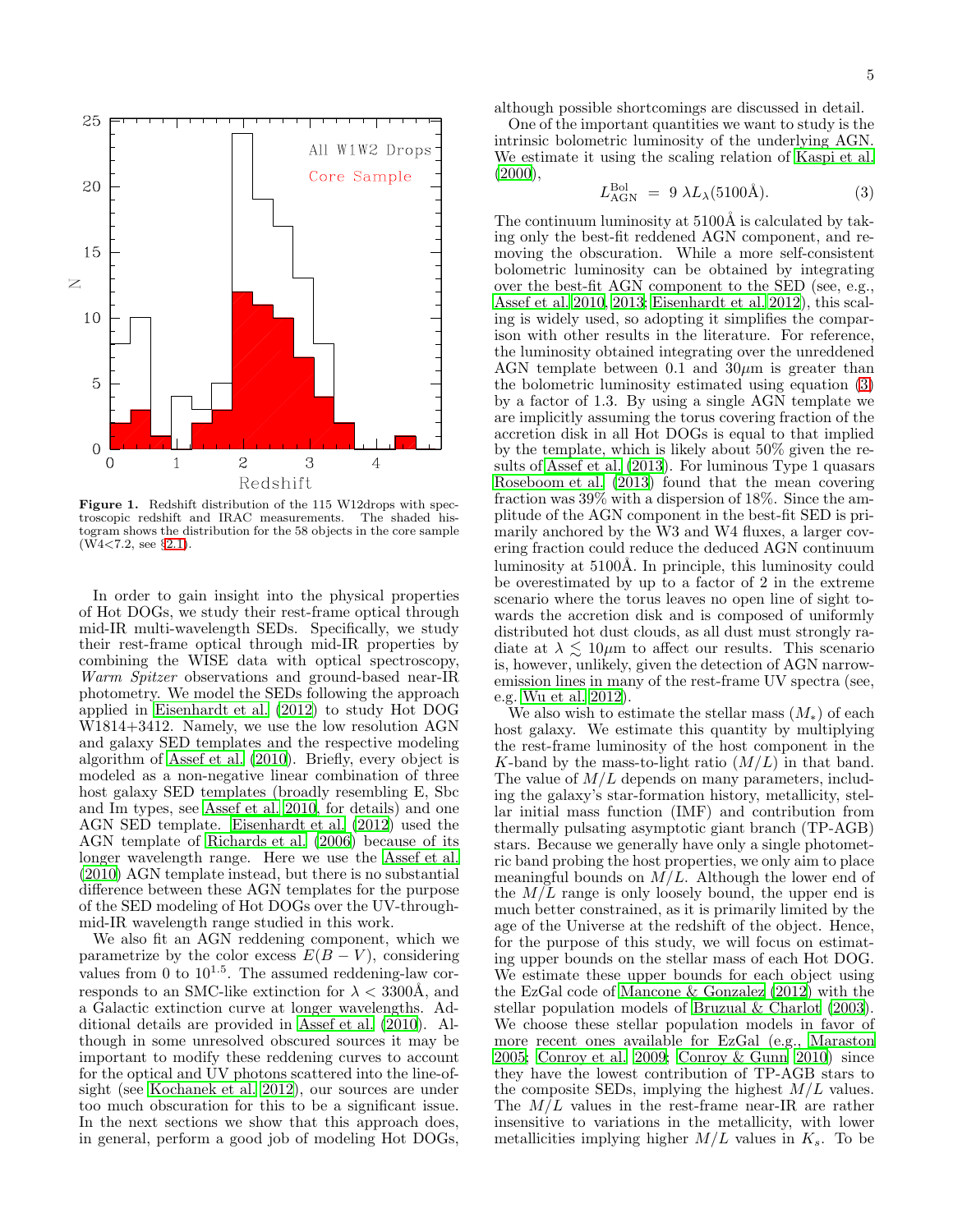

<span id="page-4-0"></span>Figure 1. Redshift distribution of the 115 W12drops with spectroscopic redshift and IRAC measurements. The shaded histogram shows the distribution for the 58 objects in the core sample (W4<7.2, see §[2.1\)](#page-1-0).

In order to gain insight into the physical properties of Hot DOGs, we study their rest-frame optical through mid-IR multi-wavelength SEDs. Specifically, we study their rest-frame optical through mid-IR properties by combining the WISE data with optical spectroscopy, Warm Spitzer observations and ground-based near-IR photometry. We model the SEDs following the approach applied in [Eisenhardt et al. \(2012\)](#page-14-10) to study Hot DOG W1814+3412. Namely, we use the low resolution AGN and galaxy SED templates and the respective modeling algorithm of [Assef et al. \(2010](#page-14-25)). Briefly, every object is modeled as a non-negative linear combination of three host galaxy SED templates (broadly resembling E, Sbc and Im types, see [Assef et al. 2010](#page-14-25), for details) and one AGN SED template. [Eisenhardt et al. \(2012\)](#page-14-10) used the AGN template of [Richards et al. \(2006](#page-15-10)) because of its longer wavelength range. Here we use the [Assef et al.](#page-14-25) [\(2010\)](#page-14-25) AGN template instead, but there is no substantial difference between these AGN templates for the purpose of the SED modeling of Hot DOGs over the UV-throughmid-IR wavelength range studied in this work.

We also fit an AGN reddening component, which we parametrize by the color excess  $E(B-V)$ , considering values from 0 to  $10^{1.5}$ . The assumed reddening-law corresponds to an SMC-like extinction for  $\lambda < 3300$ Å, and a Galactic extinction curve at longer wavelengths. Additional details are provided in [Assef et al. \(2010](#page-14-25)). Although in some unresolved obscured sources it may be important to modify these reddening curves to account for the optical and UV photons scattered into the line-ofsight (see [Kochanek et al. 2012\)](#page-14-26), our sources are under too much obscuration for this to be a significant issue. In the next sections we show that this approach does, in general, perform a good job of modeling Hot DOGs,

although possible shortcomings are discussed in detail.

One of the important quantities we want to study is the intrinsic bolometric luminosity of the underlying AGN. We estimate it using the scaling relation of [Kaspi et al.](#page-14-27)  $(2000),$  $(2000),$ 

<span id="page-4-1"></span>
$$
L_{\rm AGN}^{\rm Bol} = 9 \lambda L_{\lambda} (5100 \text{\AA}). \tag{3}
$$

The continuum luminosity at  $5100\text{\AA}$  is calculated by taking only the best-fit reddened AGN component, and removing the obscuration. While a more self-consistent bolometric luminosity can be obtained by integrating over the best-fit AGN component to the SED (see, e.g., [Assef et al. 2010,](#page-14-25) [2013;](#page-14-28) [Eisenhardt et al. 2012\)](#page-14-10), this scaling is widely used, so adopting it simplifies the comparison with other results in the literature. For reference, the luminosity obtained integrating over the unreddened AGN template between 0.1 and  $30\mu$ m is greater than the bolometric luminosity estimated using equation [\(3\)](#page-4-1) by a factor of 1.3. By using a single AGN template we are implicitly assuming the torus covering fraction of the accretion disk in all Hot DOGs is equal to that implied by the template, which is likely about 50% given the results of [Assef et al. \(2013](#page-14-28)). For luminous Type 1 quasars [Roseboom et al. \(2013](#page-15-11)) found that the mean covering fraction was 39% with a dispersion of 18%. Since the amplitude of the AGN component in the best-fit SED is primarily anchored by the W3 and W4 fluxes, a larger covering fraction could reduce the deduced AGN continuum luminosity at 5100Å. In principle, this luminosity could be overestimated by up to a factor of 2 in the extreme scenario where the torus leaves no open line of sight towards the accretion disk and is composed of uniformly distributed hot dust clouds, as all dust must strongly radiate at  $\lambda \lesssim 10 \mu m$  to affect our results. This scenario is, however, unlikely, given the detection of AGN narrowemission lines in many of the rest-frame UV spectra (see, e.g. [Wu et al. 2012\)](#page-15-3).

We also wish to estimate the stellar mass  $(M_*)$  of each host galaxy. We estimate this quantity by multiplying the rest-frame luminosity of the host component in the K-band by the mass-to-light ratio  $(M/L)$  in that band. The value of  $M/L$  depends on many parameters, including the galaxy's star-formation history, metallicity, stellar initial mass function (IMF) and contribution from thermally pulsating asymptotic giant branch (TP-AGB) stars. Because we generally have only a single photometric band probing the host properties, we only aim to place meaningful bounds on  $M/L$ . Although the lower end of the  $M/L$  range is only loosely bound, the upper end is much better constrained, as it is primarily limited by the age of the Universe at the redshift of the object. Hence, for the purpose of this study, we will focus on estimating upper bounds on the stellar mass of each Hot DOG. We estimate these upper bounds for each object using the EzGal code of [Mancone & Gonzalez \(2012\)](#page-14-29) with the stellar population models of [Bruzual & Charlot \(2003](#page-14-30)). We choose these stellar population models in favor of more recent ones available for EzGal (e.g., [Maraston](#page-14-31) [2005;](#page-14-31) [Conroy et al. 2009;](#page-14-32) [Conroy & Gunn 2010\)](#page-14-33) since they have the lowest contribution of TP-AGB stars to the composite SEDs, implying the highest  $M/L$  values. The  $M/L$  values in the rest-frame near-IR are rather insensitive to variations in the metallicity, with lower metallicities implying higher  $M/L$  values in  $K_s$ . To be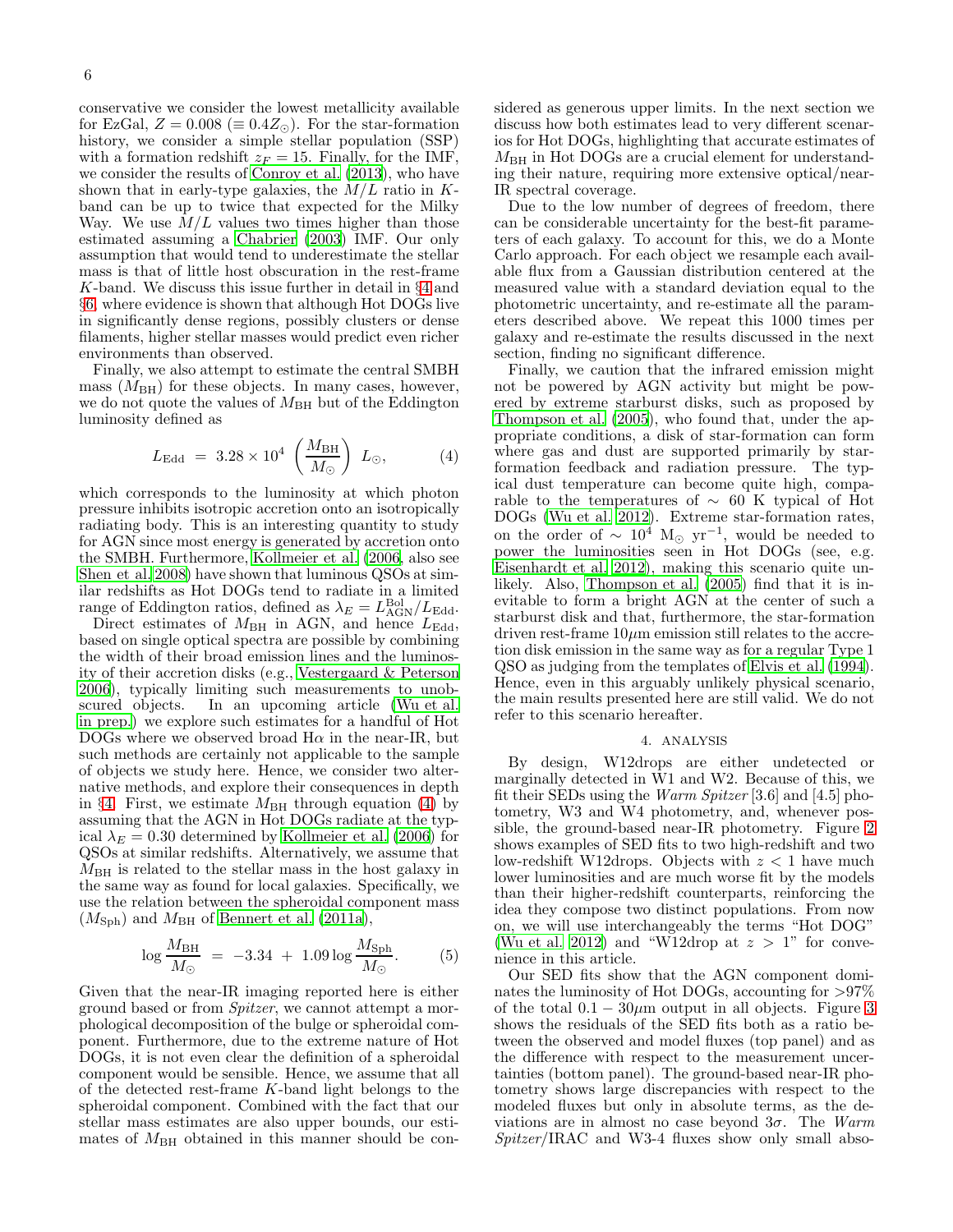conservative we consider the lowest metallicity available for EzGal,  $Z = 0.008 \ (\equiv 0.4 Z_{\odot})$ . For the star-formation history, we consider a simple stellar population (SSP) with a formation redshift  $z_F = 15$ . Finally, for the IMF, we consider the results of [Conroy et al. \(2013\)](#page-14-34), who have shown that in early-type galaxies, the  $M/L$  ratio in Kband can be up to twice that expected for the Milky Way. We use  $M/L$  values two times higher than those estimated assuming a [Chabrier \(2003](#page-14-35)) IMF. Our only assumption that would tend to underestimate the stellar mass is that of little host obscuration in the rest-frame K-band. We discuss this issue further in detail in §[4](#page-5-0) and §[6,](#page-11-0) where evidence is shown that although Hot DOGs live in significantly dense regions, possibly clusters or dense filaments, higher stellar masses would predict even richer environments than observed.

Finally, we also attempt to estimate the central SMBH mass  $(M_{BH})$  for these objects. In many cases, however, we do not quote the values of  $M<sub>BH</sub>$  but of the Eddington luminosity defined as

<span id="page-5-1"></span>
$$
L_{\rm Edd} = 3.28 \times 10^4 \left(\frac{M_{\rm BH}}{M_{\odot}}\right) L_{\odot}, \tag{4}
$$

which corresponds to the luminosity at which photon pressure inhibits isotropic accretion onto an isotropically radiating body. This is an interesting quantity to study for AGN since most energy is generated by accretion onto the SMBH. Furthermore, [Kollmeier et al. \(2006,](#page-14-36) also see [Shen et al. 2008\)](#page-15-12) have shown that luminous QSOs at similar redshifts as Hot DOGs tend to radiate in a limited range of Eddington ratios, defined as  $\lambda_E = L_{AGN}^{Bol}/L_{Edd}$ .

Direct estimates of  $M_{\rm BH}$  in AGN, and hence  $L_{\rm Edd}$ , based on single optical spectra are possible by combining the width of their broad emission lines and the luminosity of their accretion disks (e.g., [Vestergaard & Peterson](#page-15-13) [2006\)](#page-15-13), typically limiting such measurements to unobscured objects. In an upcoming article [\(Wu et al.](#page-15-14) [in prep.\)](#page-15-14) we explore such estimates for a handful of Hot DOGs where we observed broad  $H\alpha$  in the near-IR, but such methods are certainly not applicable to the sample of objects we study here. Hence, we consider two alternative methods, and explore their consequences in depth in §[4.](#page-5-0) First, we estimate  $M_{\rm BH}$  through equation [\(4\)](#page-5-1) by assuming that the AGN in Hot DOGs radiate at the typical  $\lambda_E = 0.30$  determined by [Kollmeier et al. \(2006](#page-14-36)) for QSOs at similar redshifts. Alternatively, we assume that  $M_{\rm BH}$  is related to the stellar mass in the host galaxy in the same way as found for local galaxies. Specifically, we use the relation between the spheroidal component mass  $(M<sub>Sph</sub>)$  and  $M<sub>BH</sub>$  of [Bennert et al. \(2011a](#page-14-37)),

$$
\log \frac{M_{\text{BH}}}{M_{\odot}} = -3.34 + 1.09 \log \frac{M_{\text{Sph}}}{M_{\odot}}.
$$
 (5)

Given that the near-IR imaging reported here is either ground based or from Spitzer, we cannot attempt a morphological decomposition of the bulge or spheroidal component. Furthermore, due to the extreme nature of Hot DOGs, it is not even clear the definition of a spheroidal component would be sensible. Hence, we assume that all of the detected rest-frame K-band light belongs to the spheroidal component. Combined with the fact that our stellar mass estimates are also upper bounds, our estimates of  $M_{\rm BH}$  obtained in this manner should be considered as generous upper limits. In the next section we discuss how both estimates lead to very different scenarios for Hot DOGs, highlighting that accurate estimates of  $M_{\text{BH}}$  in Hot DOGs are a crucial element for understanding their nature, requiring more extensive optical/near-IR spectral coverage.

Due to the low number of degrees of freedom, there can be considerable uncertainty for the best-fit parameters of each galaxy. To account for this, we do a Monte Carlo approach. For each object we resample each available flux from a Gaussian distribution centered at the measured value with a standard deviation equal to the photometric uncertainty, and re-estimate all the parameters described above. We repeat this 1000 times per galaxy and re-estimate the results discussed in the next section, finding no significant difference.

Finally, we caution that the infrared emission might not be powered by AGN activity but might be powered by extreme starburst disks, such as proposed by [Thompson et al. \(2005\)](#page-15-15), who found that, under the appropriate conditions, a disk of star-formation can form where gas and dust are supported primarily by starformation feedback and radiation pressure. The typical dust temperature can become quite high, comparable to the temperatures of  $\sim$  60 K typical of Hot DOGs [\(Wu et al. 2012](#page-15-3)). Extreme star-formation rates, on the order of  $\sim 10^4$  M<sub>☉</sub> yr<sup>-1</sup>, would be needed to power the luminosities seen in Hot DOGs (see, e.g. [Eisenhardt et al. 2012\)](#page-14-10), making this scenario quite unlikely. Also, [Thompson et al. \(2005\)](#page-15-15) find that it is inevitable to form a bright AGN at the center of such a starburst disk and that, furthermore, the star-formation driven rest-frame  $10\mu$ m emission still relates to the accretion disk emission in the same way as for a regular Type 1 QSO as judging from the templates of [Elvis et al. \(1994](#page-14-38)). Hence, even in this arguably unlikely physical scenario, the main results presented here are still valid. We do not refer to this scenario hereafter.

#### 4. ANALYSIS

<span id="page-5-0"></span>By design, W12drops are either undetected or marginally detected in W1 and W2. Because of this, we fit their SEDs using the Warm Spitzer [3.6] and [4.5] photometry, W3 and W4 photometry, and, whenever possible, the ground-based near-IR photometry. Figure [2](#page-6-0) shows examples of SED fits to two high-redshift and two low-redshift W12drops. Objects with  $z < 1$  have much lower luminosities and are much worse fit by the models than their higher-redshift counterparts, reinforcing the idea they compose two distinct populations. From now on, we will use interchangeably the terms "Hot DOG" [\(Wu et al. 2012\)](#page-15-3) and "W12drop at  $z > 1$ " for convenience in this article.

Our SED fits show that the AGN component dominates the luminosity of Hot DOGs, accounting for >97% of the total  $0.1 - 30 \mu m$  $0.1 - 30 \mu m$  $0.1 - 30 \mu m$  output in all objects. Figure 3 shows the residuals of the SED fits both as a ratio between the observed and model fluxes (top panel) and as the difference with respect to the measurement uncertainties (bottom panel). The ground-based near-IR photometry shows large discrepancies with respect to the modeled fluxes but only in absolute terms, as the deviations are in almost no case beyond  $3\sigma$ . The Warm Spitzer/IRAC and W3-4 fluxes show only small abso-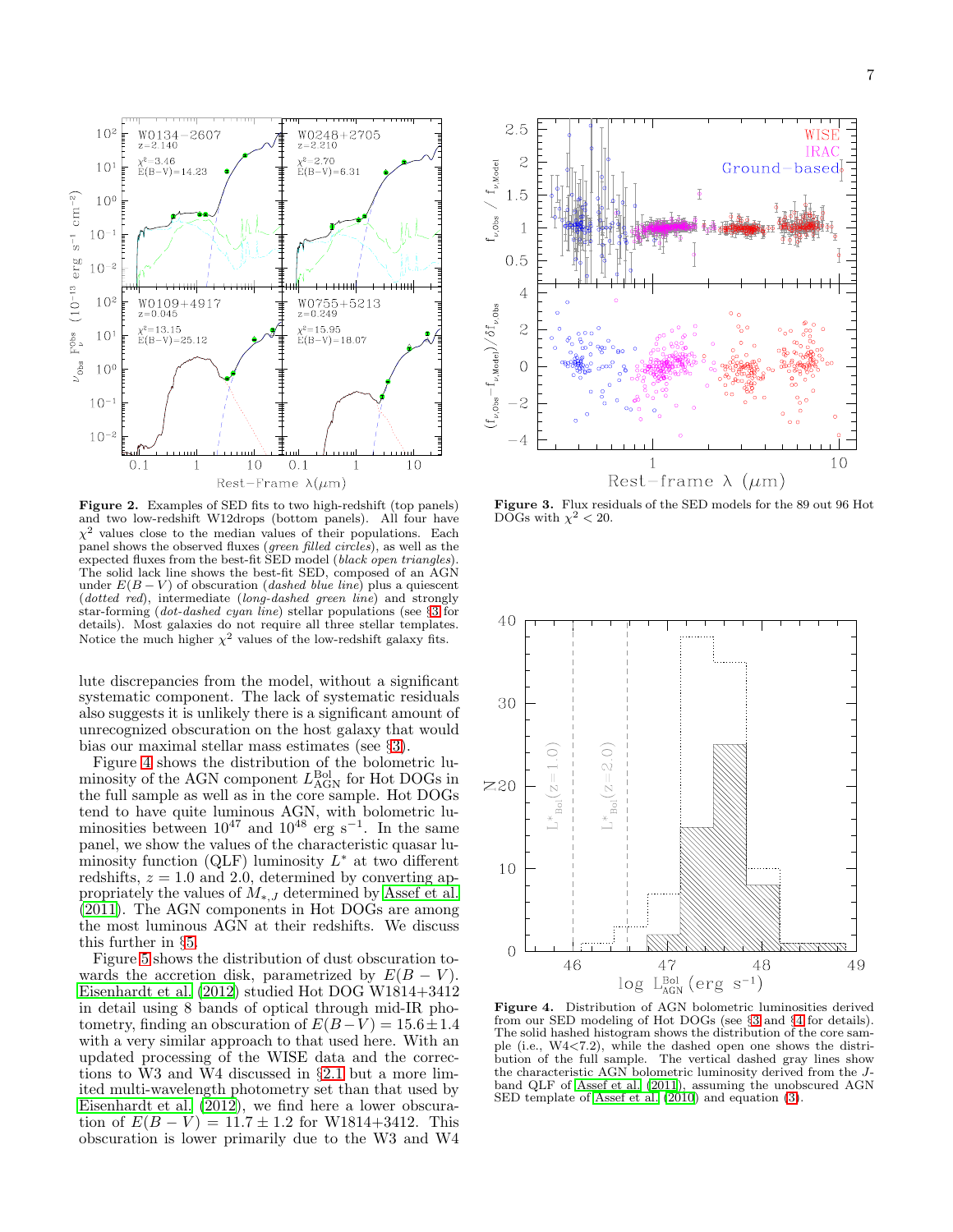

<span id="page-6-0"></span>Figure 2. Examples of SED fits to two high-redshift (top panels) and two low-redshift W12drops (bottom panels). All four have  $\chi^2$  values close to the median values of their populations. Each panel shows the observed fluxes (*green filled circles*), as well as the expected fluxes from the best-fit SED model (black open triangles). The solid lack line shows the best-fit SED, composed of an AGN under  $E(B-V)$  of obscuration (*dashed blue line*) plus a quiescent  $(dotted\ red)$ , intermediate  $(long-dashed\ green\ line)$  and strongly star-forming (dot-dashed cyan line) stellar populations (see  $\S3$  $\S3$  for details). Most galaxies do not require all three stellar templates. Notice the much higher  $\chi^2$  values of the low-redshift galaxy fits.

lute discrepancies from the model, without a significant systematic component. The lack of systematic residuals also suggests it is unlikely there is a significant amount of unrecognized obscuration on the host galaxy that would bias our maximal stellar mass estimates (see §[3\)](#page-3-0).

Figure [4](#page-6-2) shows the distribution of the bolometric luminosity of the AGN component  $L_{\rm AGN}^{\rm Bol}$  for Hot DOGs in the full sample as well as in the core sample. Hot DOGs tend to have quite luminous AGN, with bolometric luminosities between  $10^{47}$  and  $10^{48}$  erg s<sup>-1</sup>. In the same panel, we show the values of the characteristic quasar luminosity function (QLF) luminosity  $L^*$  at two different redshifts,  $z = 1.0$  and 2.0, determined by converting appropriately the values of  $M_{*,J}$  determined by [Assef et al.](#page-14-39) [\(2011\)](#page-14-39). The AGN components in Hot DOGs are among the most luminous AGN at their redshifts. We discuss this further in §[5.](#page-9-0)

Figure [5](#page-7-0) shows the distribution of dust obscuration towards the accretion disk, parametrized by  $E(B - V)$ . [Eisenhardt et al. \(2012](#page-14-10)) studied Hot DOG W1814+3412 in detail using 8 bands of optical through mid-IR photometry, finding an obscuration of  $E(B-V) = 15.6 \pm 1.4$ with a very similar approach to that used here. With an updated processing of the WISE data and the corrections to W3 and W4 discussed in §[2.1](#page-1-0) but a more limited multi-wavelength photometry set than that used by [Eisenhardt et al. \(2012\)](#page-14-10), we find here a lower obscuration of  $E(B - V) = 11.7 \pm 1.2$  for W1814+3412. This obscuration is lower primarily due to the W3 and W4



<span id="page-6-1"></span>Figure 3. Flux residuals of the SED models for the 89 out 96 Hot DOGs with  $\chi^2 < 20$ .



<span id="page-6-2"></span>Figure 4. Distribution of AGN bolometric luminosities derived from our SED modeling of Hot DOGs (see §[3](#page-3-0) and §[4](#page-5-0) for details). The solid hashed histogram shows the distribution of the core sample (i.e., W4<7.2), while the dashed open one shows the distribution of the full sample. The vertical dashed gray lines show the characteristic AGN bolometric luminosity derived from the Jband QLF of [Assef et al. \(2011](#page-14-39)), assuming the unobscured AGN SED template of [Assef et al. \(2010](#page-14-25)) and equation [\(3\)](#page-4-1).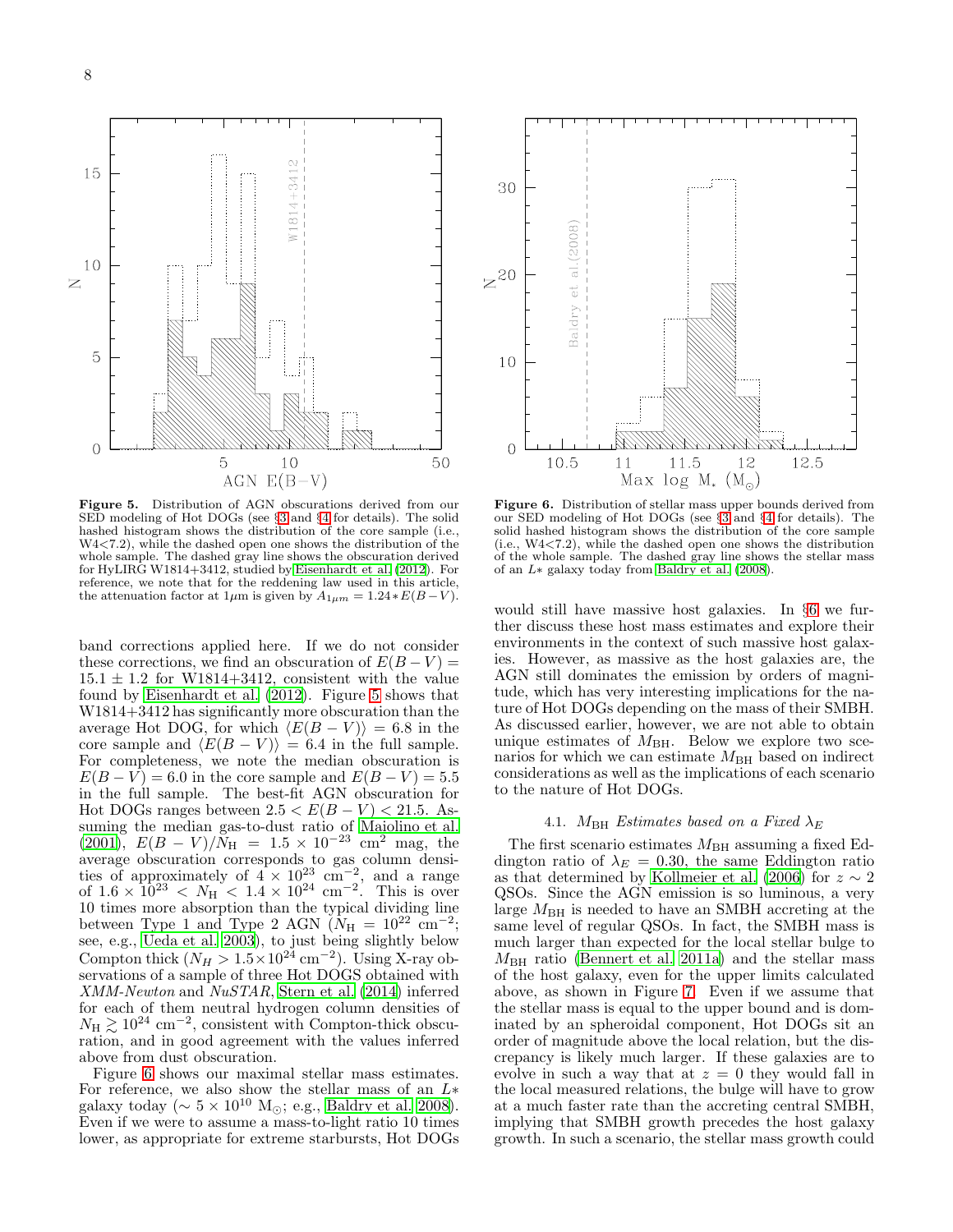$\mathcal{O}$ 15  $814 + 34$ 10  $\geq$ 5  $\overline{O}$ 50 5 10 AGN  $E(B-V)$ 

<span id="page-7-0"></span>Figure 5. Distribution of AGN obscurations derived from our SED modeling of Hot DOGs (see §[3](#page-3-0) and §[4](#page-5-0) for details). The solid hashed histogram shows the distribution of the core sample (i.e., W4<7.2), while the dashed open one shows the distribution of the whole sample. The dashed gray line shows the obscuration derived for HyLIRG W1814+3412, studied by [Eisenhardt et al. \(2012](#page-14-10)). For reference, we note that for the reddening law used in this article, the attenuation factor at  $1\mu$ m is given by  $A_{1\mu m} = 1.24 * E(B-V)$ .

band corrections applied here. If we do not consider these corrections, we find an obscuration of  $E(B-V)$  =  $15.1 \pm 1.2$  for W1814+3412, consistent with the value found by [Eisenhardt et al. \(2012](#page-14-10)). Figure [5](#page-7-0) shows that W1814+3412 has significantly more obscuration than the average Hot DOG, for which  $\langle E(B - V) \rangle = 6.8$  in the core sample and  $\langle E(B - V) \rangle = 6.4$  in the full sample. For completeness, we note the median obscuration is  $E(B - V) = 6.0$  in the core sample and  $E(B - V) = 5.5$ in the full sample. The best-fit AGN obscuration for Hot DOGs ranges between  $2.5 < E(B-V) < 21.5$ . Assuming the median gas-to-dust ratio of [Maiolino et al.](#page-14-40) [\(2001\)](#page-14-40),  $E(B - V)/N_H = 1.5 \times 10^{-23}$  cm<sup>2</sup> mag, the average obscuration corresponds to gas column densities of approximately of  $4 \times 10^{23}$  cm<sup>-2</sup>, and a range of  $1.6 \times 10^{23} < N_{\text{H}} < 1.4 \times 10^{24} \text{ cm}^{-2}$ . This is over 10 times more absorption than the typical dividing line between Type 1 and Type 2 AGN  $(N_{\rm H} = 10^{22} \text{ cm}^{-2})$ ; see, e.g., [Ueda et al. 2003\)](#page-15-16), to just being slightly below Compton thick  $(N_H > 1.5 \times 10^{24} \text{ cm}^{-2})$ . Using X-ray observations of a sample of three Hot DOGS obtained with XMM-Newton and NuSTAR, [Stern et al. \(2014\)](#page-15-4) inferred for each of them neutral hydrogen column densities of  $N_{\rm H} \gtrsim 10^{24}$  cm<sup>-2</sup>, consistent with Compton-thick obscuration, and in good agreement with the values inferred above from dust obscuration.

Figure [6](#page-7-1) shows our maximal stellar mass estimates. For reference, we also show the stellar mass of an  $L*$ galaxy today ( $\sim 5 \times 10^{10}$  M<sub>⊙</sub>; e.g., [Baldry et al. 2008\)](#page-14-41). Even if we were to assume a mass-to-light ratio 10 times lower, as appropriate for extreme starbursts, Hot DOGs



<span id="page-7-1"></span>Figure 6. Distribution of stellar mass upper bounds derived from our SED modeling of Hot DOGs (see §[3](#page-3-0) and §[4](#page-5-0) for details). The solid hashed histogram shows the distribution of the core sample (i.e., W4<7.2), while the dashed open one shows the distribution of the whole sample. The dashed gray line shows the stellar mass of an L∗ galaxy today from [Baldry et al. \(2008](#page-14-41)).

would still have massive host galaxies. In §[6](#page-11-0) we further discuss these host mass estimates and explore their environments in the context of such massive host galaxies. However, as massive as the host galaxies are, the AGN still dominates the emission by orders of magnitude, which has very interesting implications for the nature of Hot DOGs depending on the mass of their SMBH. As discussed earlier, however, we are not able to obtain unique estimates of  $M_{\rm BH}$ . Below we explore two scenarios for which we can estimate  $M_{\rm BH}$  based on indirect considerations as well as the implications of each scenario to the nature of Hot DOGs.

# 4.1. M<sub>BH</sub> Estimates based on a Fixed  $\lambda_E$

<span id="page-7-2"></span>The first scenario estimates  $M_{\rm BH}$  assuming a fixed Eddington ratio of  $\lambda_E = 0.30$ , the same Eddington ratio as that determined by [Kollmeier et al. \(2006\)](#page-14-36) for  $z \sim 2$ QSOs. Since the AGN emission is so luminous, a very large  $M_{\rm BH}$  is needed to have an SMBH accreting at the same level of regular QSOs. In fact, the SMBH mass is much larger than expected for the local stellar bulge to  $M_{\text{BH}}$  ratio [\(Bennert et al. 2011a\)](#page-14-37) and the stellar mass of the host galaxy, even for the upper limits calculated above, as shown in Figure [7.](#page-8-0) Even if we assume that the stellar mass is equal to the upper bound and is dominated by an spheroidal component, Hot DOGs sit an order of magnitude above the local relation, but the discrepancy is likely much larger. If these galaxies are to evolve in such a way that at  $z = 0$  they would fall in the local measured relations, the bulge will have to grow at a much faster rate than the accreting central SMBH, implying that SMBH growth precedes the host galaxy growth. In such a scenario, the stellar mass growth could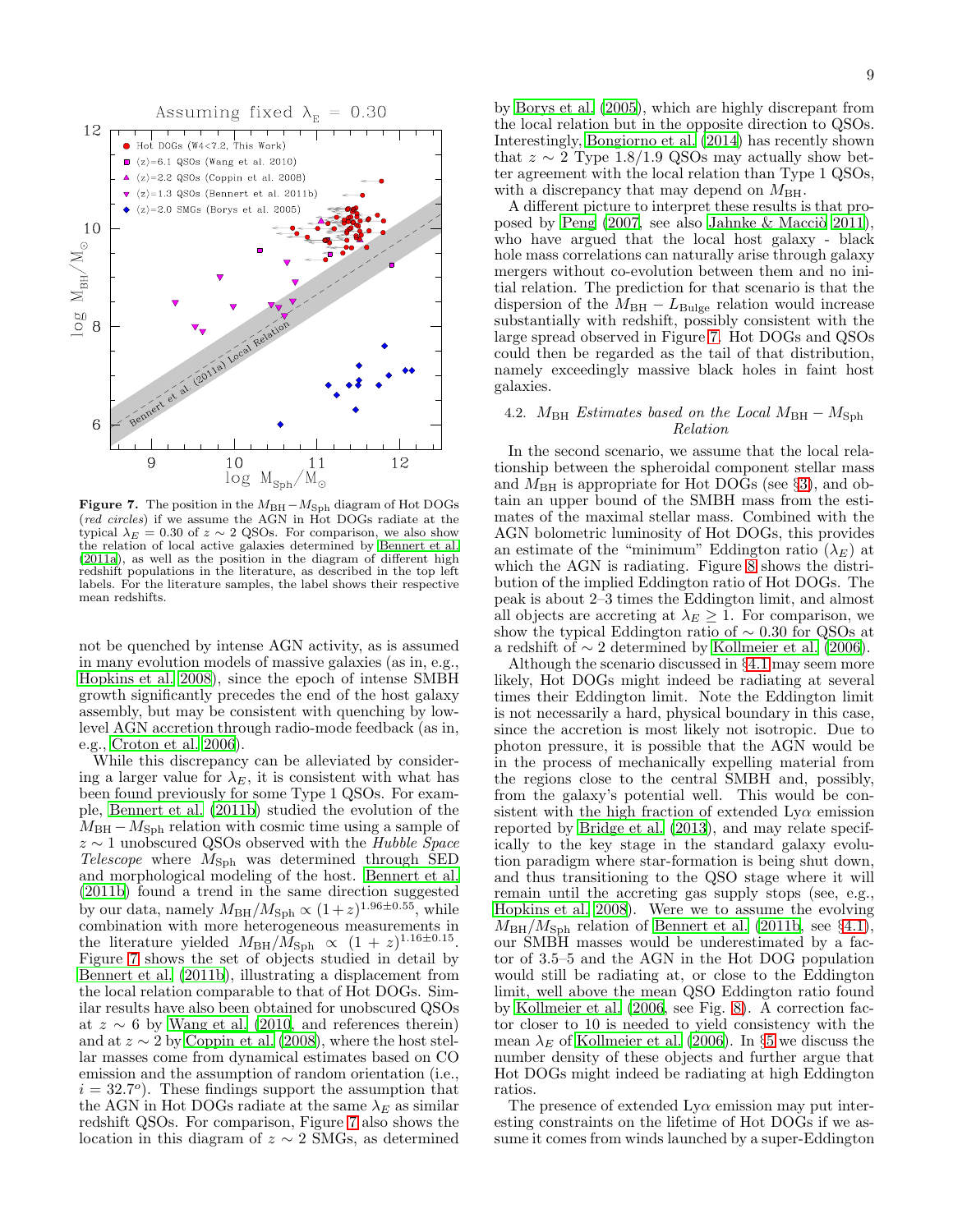

<span id="page-8-0"></span>Figure 7. The position in the  $M_{\rm BH} - M_{\rm Sph}$  diagram of Hot DOGs (red circles) if we assume the AGN in Hot DOGs radiate at the typical  $\lambda_E = 0.30$  of  $z \sim 2$  QSOs. For comparison, we also show the relation of local active galaxies determined by [Bennert](#page-14-37) et al. [\(2011a](#page-14-37)), as well as the position in the diagram of different high redshift populations in the literature, as described in the top left labels. For the literature samples, the label shows their respective mean redshifts.

not be quenched by intense AGN activity, as is assumed in many evolution models of massive galaxies (as in, e.g., [Hopkins et al. 2008\)](#page-14-0), since the epoch of intense SMBH growth significantly precedes the end of the host galaxy assembly, but may be consistent with quenching by lowlevel AGN accretion through radio-mode feedback (as in, e.g., [Croton et al. 2006\)](#page-14-42).

While this discrepancy can be alleviated by considering a larger value for  $\lambda_E$ , it is consistent with what has been found previously for some Type 1 QSOs. For example, [Bennert et al. \(2011b](#page-14-43)) studied the evolution of the  $M_{\rm BH}-M_{\rm Sph}$  relation with cosmic time using a sample of  $z \sim 1$  unobscured QSOs observed with the Hubble Space Telescope where  $M_{\text{Sph}}$  was determined through SED and morphological modeling of the host. [Bennert et al.](#page-14-43) [\(2011b](#page-14-43)) found a trend in the same direction suggested by our data, namely  $M_{\rm BH}/M_{\rm Sph} \propto (1+z)^{1.96\pm0.55}$ , while combination with more heterogeneous measurements in the literature yielded  $M_{\text{BH}}/M_{\text{Sph}} \propto (1+z)^{1.16\pm0.15}$ . Figure [7](#page-8-0) shows the set of objects studied in detail by [Bennert et al. \(2011b](#page-14-43)), illustrating a displacement from the local relation comparable to that of Hot DOGs. Similar results have also been obtained for unobscured QSOs at  $z \sim 6$  by [Wang et al. \(2010,](#page-15-17) and references therein) and at  $z \sim 2$  by [Coppin et al. \(2008\)](#page-14-44), where the host stellar masses come from dynamical estimates based on CO emission and the assumption of random orientation (i.e.,  $i = 32.7^{\circ}$ ). These findings support the assumption that the AGN in Hot DOGs radiate at the same  $\lambda_E$  as similar redshift QSOs. For comparison, Figure [7](#page-8-0) also shows the location in this diagram of  $z \sim 2$  SMGs, as determined

by [Borys et al. \(2005\)](#page-14-45), which are highly discrepant from the local relation but in the opposite direction to QSOs. Interestingly, [Bongiorno et al. \(2014\)](#page-14-46) has recently shown that  $z \sim 2$  Type 1.8/1.9 QSOs may actually show better agreement with the local relation than Type 1 QSOs, with a discrepancy that may depend on  $M_{\rm BH}$ .

A different picture to interpret these results is that proposed by Peng  $(2007, \text{ see also Jahnke} \& \text{Macciò } 2011),$ who have argued that the local host galaxy - black hole mass correlations can naturally arise through galaxy mergers without co-evolution between them and no initial relation. The prediction for that scenario is that the dispersion of the  $M_{\rm BH} - L_{\rm Bulge}$  relation would increase substantially with redshift, possibly consistent with the large spread observed in Figure [7.](#page-8-0) Hot DOGs and QSOs could then be regarded as the tail of that distribution, namely exceedingly massive black holes in faint host galaxies.

## <span id="page-8-1"></span>4.2.  $M_{\text{BH}}$  Estimates based on the Local  $M_{\text{BH}} - M_{\text{Sph}}$ Relation

In the second scenario, we assume that the local relationship between the spheroidal component stellar mass and  $M_{\rm BH}$  is appropriate for Hot DOGs (see §[3\)](#page-3-0), and obtain an upper bound of the SMBH mass from the estimates of the maximal stellar mass. Combined with the AGN bolometric luminosity of Hot DOGs, this provides an estimate of the "minimum" Eddington ratio  $(\lambda_E)$  at which the AGN is radiating. Figure [8](#page-9-1) shows the distribution of the implied Eddington ratio of Hot DOGs. The peak is about 2–3 times the Eddington limit, and almost all objects are accreting at  $\lambda_E \geq 1$ . For comparison, we show the typical Eddington ratio of  $\sim 0.30$  for QSOs at a redshift of  $\sim$  2 determined by [Kollmeier et al. \(2006\)](#page-14-36).

Although the scenario discussed in §[4.1](#page-7-2) may seem more likely, Hot DOGs might indeed be radiating at several times their Eddington limit. Note the Eddington limit is not necessarily a hard, physical boundary in this case, since the accretion is most likely not isotropic. Due to photon pressure, it is possible that the AGN would be in the process of mechanically expelling material from the regions close to the central SMBH and, possibly, from the galaxy's potential well. This would be consistent with the high fraction of extended  $Ly\alpha$  emission reported by [Bridge et al. \(2013\)](#page-14-11), and may relate specifically to the key stage in the standard galaxy evolution paradigm where star-formation is being shut down, and thus transitioning to the QSO stage where it will remain until the accreting gas supply stops (see, e.g., [Hopkins et al. 2008\)](#page-14-0). Were we to assume the evolving  $M_{\text{BH}}/M_{\text{Sph}}$  relation of [Bennert et al. \(2011b](#page-14-43), see §[4.1\)](#page-7-2), our SMBH masses would be underestimated by a factor of 3.5–5 and the AGN in the Hot DOG population would still be radiating at, or close to the Eddington limit, well above the mean QSO Eddington ratio found by [Kollmeier et al. \(2006,](#page-14-36) see Fig. [8\)](#page-9-1). A correction factor closer to 10 is needed to yield consistency with the mean  $\lambda_E$  of [Kollmeier et al. \(2006\)](#page-14-36). In §[5](#page-9-0) we discuss the number density of these objects and further argue that Hot DOGs might indeed be radiating at high Eddington ratios.

The presence of extended  $Ly\alpha$  emission may put interesting constraints on the lifetime of Hot DOGs if we assume it comes from winds launched by a super-Eddington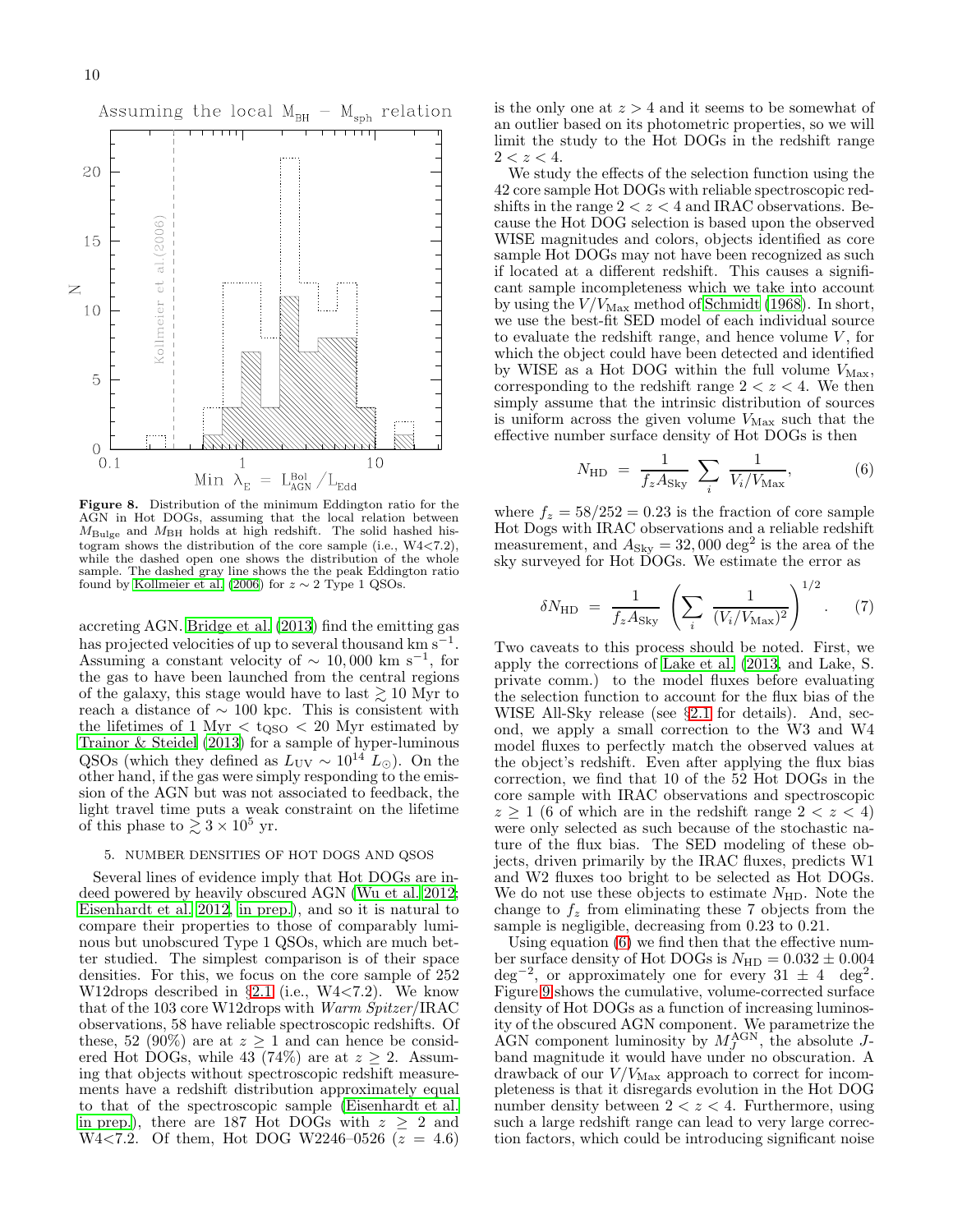

<span id="page-9-1"></span>Figure 8. Distribution of the minimum Eddington ratio for the AGN in Hot DOGs, assuming that the local relation between  $M_{\text{Bulge}}$  and  $M_{\text{BH}}$  holds at high redshift. The solid hashed histogram shows the distribution of the core sample (i.e.,  $W4 < 7.2$ ), while the dashed open one shows the distribution of the whole sample. The dashed gray line shows the the peak Eddington ratio found by [Kollmeier et al. \(2006\)](#page-14-36) for  $z \sim 2$  Type 1 QSOs.

accreting AGN. [Bridge et al. \(2013\)](#page-14-11) find the emitting gas has projected velocities of up to several thousand km s<sup>-1</sup>. Assuming a constant velocity of  $\sim 10,000$  km s<sup>-1</sup>, for the gas to have been launched from the central regions of the galaxy, this stage would have to last  $\gtrsim 10$  Myr to reach a distance of  $\sim$  100 kpc. This is consistent with the lifetimes of 1 Myr  $\lt$  t<sub>QSO</sub>  $\lt$  20 Myr estimated by [Trainor & Steidel \(2013\)](#page-15-18) for a sample of hyper-luminous QSOs (which they defined as  $L_{\text{UV}} \sim 10^{14} L_{\odot}$ ). On the other hand, if the gas were simply responding to the emission of the AGN but was not associated to feedback, the light travel time puts a weak constraint on the lifetime of this phase to  $\gtrsim 3 \times 10^5$  yr.

## <span id="page-9-0"></span>5. NUMBER DENSITIES OF HOT DOGS AND QSOS

Several lines of evidence imply that Hot DOGs are indeed powered by heavily obscured AGN [\(Wu et al. 2012;](#page-15-3) [Eisenhardt et al. 2012](#page-14-10), [in prep.](#page-14-13)), and so it is natural to compare their properties to those of comparably luminous but unobscured Type 1 QSOs, which are much better studied. The simplest comparison is of their space densities. For this, we focus on the core sample of 252 W12drops described in  $\S 2.1$  $\S 2.1$  (i.e., W4<7.2). We know that of the 103 core W12drops with Warm Spitzer/IRAC observations, 58 have reliable spectroscopic redshifts. Of these, 52 (90%) are at  $z \ge 1$  and can hence be considered Hot DOGs, while  $43(74\%)$  are at  $z \geq 2$ . Assuming that objects without spectroscopic redshift measurements have a redshift distribution approximately equal to that of the spectroscopic sample [\(Eisenhardt et al.](#page-14-13) [in prep.\)](#page-14-13), there are 187 Hot DOGs with  $z \geq 2$  and  $W4 < 7.2$ . Of them, Hot DOG W2246-0526 ( $z = 4.6$ )

is the only one at  $z > 4$  and it seems to be somewhat of an outlier based on its photometric properties, so we will limit the study to the Hot DOGs in the redshift range  $2 < z < 4$ .

We study the effects of the selection function using the 42 core sample Hot DOGs with reliable spectroscopic redshifts in the range  $2 < z < 4$  and IRAC observations. Because the Hot DOG selection is based upon the observed WISE magnitudes and colors, objects identified as core sample Hot DOGs may not have been recognized as such if located at a different redshift. This causes a significant sample incompleteness which we take into account by using the  $V/V_{\text{Max}}$  method of [Schmidt \(1968\)](#page-15-19). In short, we use the best-fit SED model of each individual source to evaluate the redshift range, and hence volume  $V$ , for which the object could have been detected and identified by WISE as a Hot DOG within the full volume  $V_{\text{Max}}$ , corresponding to the redshift range  $2 < z < 4$ . We then simply assume that the intrinsic distribution of sources is uniform across the given volume  $V_{\text{Max}}$  such that the effective number surface density of Hot DOGs is then

<span id="page-9-2"></span>
$$
N_{\rm HD} = \frac{1}{f_z A_{\rm Sky}} \sum_i \frac{1}{V_i / V_{\rm Max}},\tag{6}
$$

where  $f_z = 58/252 = 0.23$  is the fraction of core sample Hot Dogs with IRAC observations and a reliable redshift measurement, and  $A_{\text{Sky}} = 32,000 \text{ deg}^2$  is the area of the sky surveyed for Hot DOGs. We estimate the error as

$$
\delta N_{\rm HD} = \frac{1}{f_z A_{\rm Sky}} \left( \sum_i \frac{1}{(V_i / V_{\rm Max})^2} \right)^{1/2} . \tag{7}
$$

Two caveats to this process should be noted. First, we apply the corrections of [Lake et al. \(2013,](#page-14-18) and Lake, S. private comm.) to the model fluxes before evaluating the selection function to account for the flux bias of the WISE All-Sky release (see §[2.1](#page-1-0) for details). And, second, we apply a small correction to the W3 and W4 model fluxes to perfectly match the observed values at the object's redshift. Even after applying the flux bias correction, we find that 10 of the 52 Hot DOGs in the core sample with IRAC observations and spectroscopic  $z \geq 1$  (6 of which are in the redshift range  $2 < z < 4$ ) were only selected as such because of the stochastic nature of the flux bias. The SED modeling of these objects, driven primarily by the IRAC fluxes, predicts W1 and W2 fluxes too bright to be selected as Hot DOGs. We do not use these objects to estimate  $N_{\rm HD}$ . Note the change to  $f<sub>z</sub>$  from eliminating these 7 objects from the sample is negligible, decreasing from 0.23 to 0.21.

Using equation [\(6\)](#page-9-2) we find then that the effective number surface density of Hot DOGs is  $N_{\text{HD}} = 0.032 \pm 0.004$  $\deg^{-2}$ , or approximately one for every 31  $\pm$  4 deg<sup>2</sup>. Figure [9](#page-10-0) shows the cumulative, volume-corrected surface density of Hot DOGs as a function of increasing luminosity of the obscured AGN component. We parametrize the AGN component luminosity by  $M_f^{\rm AGN}$ , the absolute Jband magnitude it would have under no obscuration. A drawback of our  $V/V_{\text{Max}}$  approach to correct for incompleteness is that it disregards evolution in the Hot DOG number density between  $2 < z < 4$ . Furthermore, using such a large redshift range can lead to very large correction factors, which could be introducing significant noise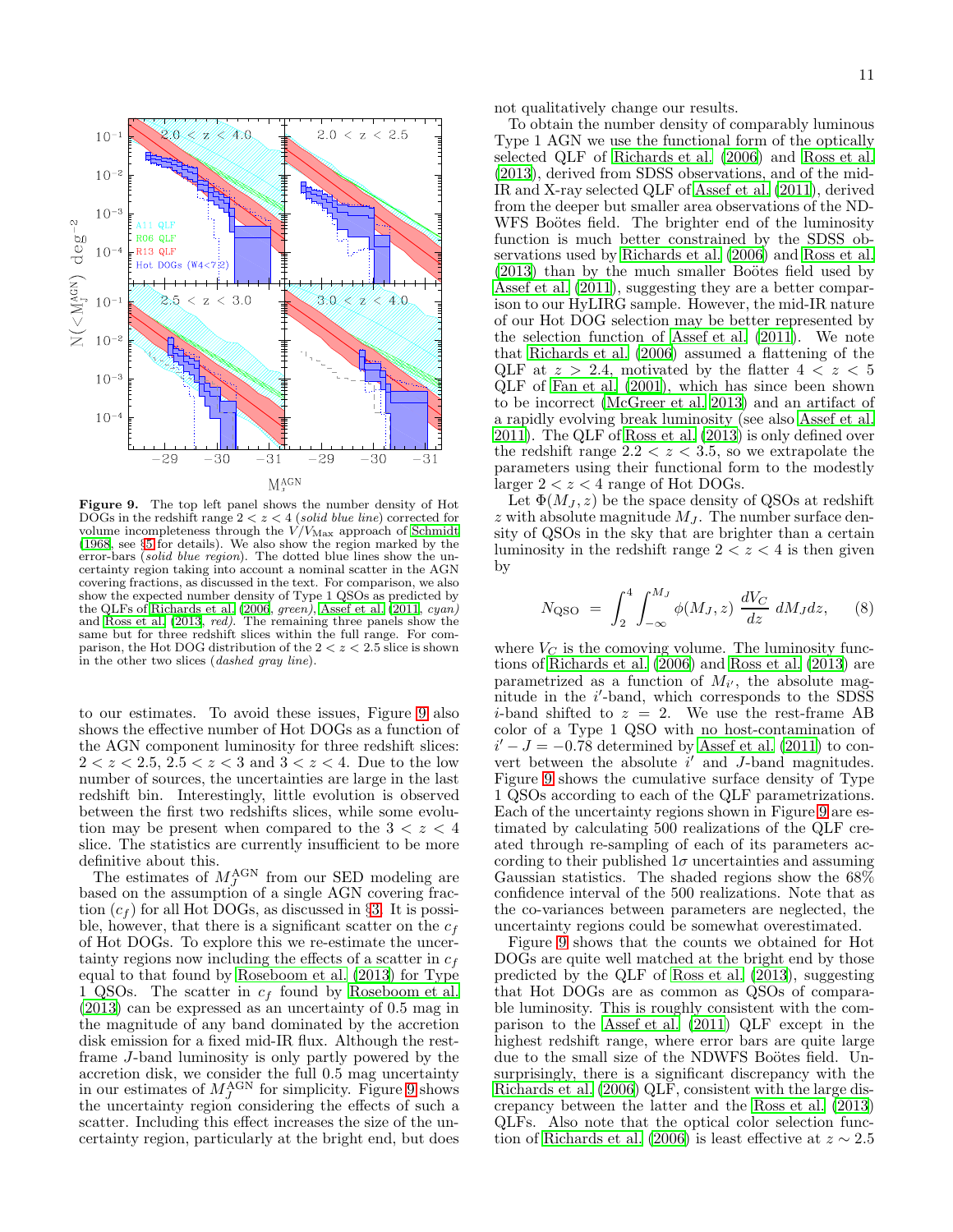

<span id="page-10-0"></span>Figure 9. The top left panel shows the number density of Hot DOGs in the redshift range  $2 < z < 4$  (solid blue line) corrected for volume incompleteness through the  $V/V_{\text{Max}}$  approach of [Schmidt](#page-15-19) [\(1968,](#page-15-19) see §[5](#page-9-0) for details). We also show the region marked by the error-bars *(solid blue region)*. The dotted blue lines show the uncertainty region taking into account a nominal scatter in the AGN covering fractions, as discussed in the text. For comparison, we also show the expected number density of Type 1 QSOs as predicted by the QLFs of [Richards et al. \(2006](#page-15-10), green), [Assef et al. \(2011](#page-14-39), cyan) and [Ross et al. \(2013](#page-15-20), red). The remaining three panels show the same but for three redshift slices within the full range. For comparison, the Hot DOG distribution of the  $2 < z < 2.5$  slice is shown in the other two slices (dashed gray line).

to our estimates. To avoid these issues, Figure [9](#page-10-0) also shows the effective number of Hot DOGs as a function of the AGN component luminosity for three redshift slices:  $2 < z < 2.5, 2.5 < z < 3$  and  $3 < z < 4$ . Due to the low number of sources, the uncertainties are large in the last redshift bin. Interestingly, little evolution is observed between the first two redshifts slices, while some evolution may be present when compared to the  $3 < z < 4$ slice. The statistics are currently insufficient to be more definitive about this.

The estimates of  $M_J^{\rm AGN}$  from our SED modeling are based on the assumption of a single AGN covering fraction  $(c_f)$  for all Hot DOGs, as discussed in §[3.](#page-3-0) It is possible, however, that there is a significant scatter on the  $c_f$ of Hot DOGs. To explore this we re-estimate the uncertainty regions now including the effects of a scatter in  $c_f$ equal to that found by [Roseboom et al. \(2013](#page-15-11)) for Type 1 QSOs. The scatter in  $c_f$  found by [Roseboom et al.](#page-15-11) [\(2013\)](#page-15-11) can be expressed as an uncertainty of 0.5 mag in the magnitude of any band dominated by the accretion disk emission for a fixed mid-IR flux. Although the restframe J-band luminosity is only partly powered by the accretion disk, we consider the full 0.5 mag uncertainty in our estimates of  $M_J^{\rm AGN}$  for simplicity. Figure [9](#page-10-0) shows the uncertainty region considering the effects of such a scatter. Including this effect increases the size of the uncertainty region, particularly at the bright end, but does

not qualitatively change our results.

To obtain the number density of comparably luminous Type 1 AGN we use the functional form of the optically selected QLF of [Richards et al. \(2006\)](#page-15-10) and [Ross et al.](#page-15-20) [\(2013\)](#page-15-20), derived from SDSS observations, and of the mid-IR and X-ray selected QLF of [Assef et al. \(2011](#page-14-39)), derived from the deeper but smaller area observations of the ND-WFS Boötes field. The brighter end of the luminosity function is much better constrained by the SDSS observations used by [Richards et al. \(2006](#page-15-10)) and [Ross et al.](#page-15-20)  $(2013)$  than by the much smaller Boötes field used by [Assef et al. \(2011\)](#page-14-39), suggesting they are a better comparison to our HyLIRG sample. However, the mid-IR nature of our Hot DOG selection may be better represented by the selection function of [Assef et al. \(2011\)](#page-14-39). We note that [Richards et al. \(2006\)](#page-15-10) assumed a flattening of the QLF at  $z > 2.4$ , motivated by the flatter  $4 < z < 5$ QLF of [Fan et al. \(2001\)](#page-14-49), which has since been shown to be incorrect [\(McGreer et al. 2013\)](#page-14-50) and an artifact of a rapidly evolving break luminosity (see also [Assef et al.](#page-14-39) [2011\)](#page-14-39). The QLF of [Ross et al. \(2013\)](#page-15-20) is only defined over the redshift range  $2.2 < z < 3.5$ , so we extrapolate the parameters using their functional form to the modestly larger  $2 < z < 4$  range of Hot DOGs.

Let  $\Phi(M_J, z)$  be the space density of QSOs at redshift z with absolute magnitude  $M_J$ . The number surface density of QSOs in the sky that are brighter than a certain luminosity in the redshift range  $2 < z < 4$  is then given by

$$
N_{\rm QSO} = \int_2^4 \int_{-\infty}^{M_J} \phi(M_J, z) \frac{dV_C}{dz} dM_J dz, \quad (8)
$$

where  $V_C$  is the comoving volume. The luminosity functions of [Richards et al. \(2006](#page-15-10)) and [Ross et al. \(2013\)](#page-15-20) are parametrized as a function of  $M_{i'}$ , the absolute magnitude in the *i*'-band, which corresponds to the SDSS *i*-band shifted to  $z = 2$ . We use the rest-frame AB color of a Type 1 QSO with no host-contamination of  $i'-J=-0.78$  determined by [Assef et al. \(2011\)](#page-14-39) to convert between the absolute  $i'$  and J-band magnitudes. Figure [9](#page-10-0) shows the cumulative surface density of Type 1 QSOs according to each of the QLF parametrizations. Each of the uncertainty regions shown in Figure [9](#page-10-0) are estimated by calculating 500 realizations of the QLF created through re-sampling of each of its parameters according to their published  $1\sigma$  uncertainties and assuming Gaussian statistics. The shaded regions show the 68% confidence interval of the 500 realizations. Note that as the co-variances between parameters are neglected, the uncertainty regions could be somewhat overestimated.

Figure [9](#page-10-0) shows that the counts we obtained for Hot DOGs are quite well matched at the bright end by those predicted by the QLF of [Ross et al. \(2013\)](#page-15-20), suggesting that Hot DOGs are as common as QSOs of comparable luminosity. This is roughly consistent with the comparison to the [Assef et al. \(2011\)](#page-14-39) QLF except in the highest redshift range, where error bars are quite large due to the small size of the NDWFS Boötes field. Unsurprisingly, there is a significant discrepancy with the [Richards et al. \(2006\)](#page-15-10) QLF, consistent with the large discrepancy between the latter and the [Ross et al. \(2013](#page-15-20)) QLFs. Also note that the optical color selection func-tion of [Richards et al. \(2006\)](#page-15-10) is least effective at  $z \sim 2.5$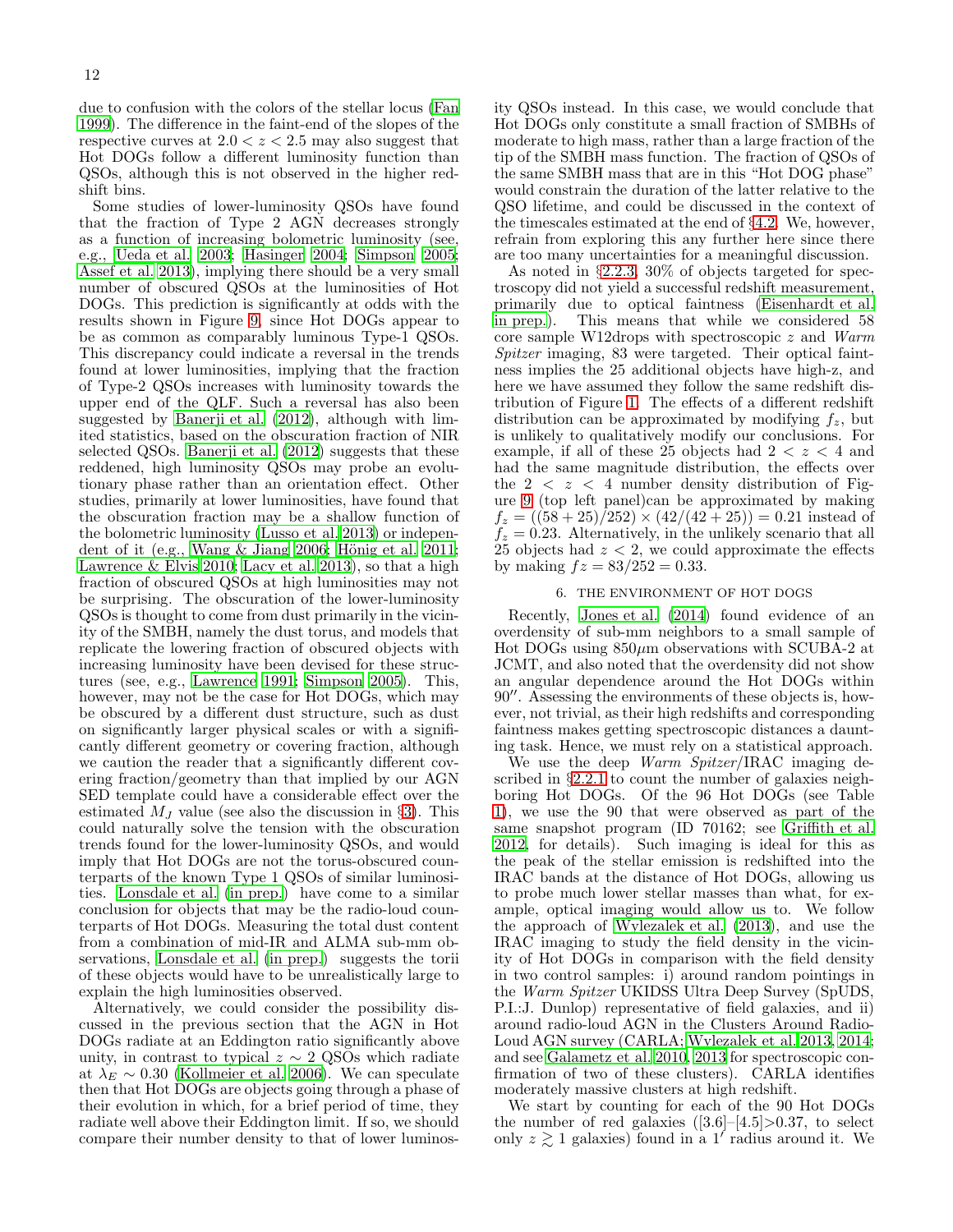due to confusion with the colors of the stellar locus [\(Fan](#page-14-51) [1999\)](#page-14-51). The difference in the faint-end of the slopes of the respective curves at  $2.0 < z < 2.5$  may also suggest that Hot DOGs follow a different luminosity function than QSOs, although this is not observed in the higher redshift bins.

Some studies of lower-luminosity QSOs have found that the fraction of Type 2 AGN decreases strongly as a function of increasing bolometric luminosity (see, e.g., [Ueda et al. 2003;](#page-15-16) [Hasinger 2004](#page-14-52); [Simpson 2005;](#page-15-21) [Assef et al. 2013](#page-14-28)), implying there should be a very small number of obscured QSOs at the luminosities of Hot DOGs. This prediction is significantly at odds with the results shown in Figure [9,](#page-10-0) since Hot DOGs appear to be as common as comparably luminous Type-1 QSOs. This discrepancy could indicate a reversal in the trends found at lower luminosities, implying that the fraction of Type-2 QSOs increases with luminosity towards the upper end of the QLF. Such a reversal has also been suggested by [Banerji et al. \(2012\)](#page-14-53), although with limited statistics, based on the obscuration fraction of NIR selected QSOs. Banerii et al. (2012) suggests that these reddened, high luminosity QSOs may probe an evolutionary phase rather than an orientation effect. Other studies, primarily at lower luminosities, have found that the obscuration fraction may be a shallow function of the bolometric luminosity [\(Lusso et al. 2013\)](#page-14-54) or independent of it (e.g., Wang  $\&$  Jiang 2006; Hönig et al. 2011; Lawrence  $&$  Elvis 2010; [Lacy et al. 2013\)](#page-14-57), so that a high fraction of obscured QSOs at high luminosities may not be surprising. The obscuration of the lower-luminosity QSOs is thought to come from dust primarily in the vicinity of the SMBH, namely the dust torus, and models that replicate the lowering fraction of obscured objects with increasing luminosity have been devised for these structures (see, e.g., [Lawrence 1991](#page-14-58); [Simpson 2005\)](#page-15-21). This, however, may not be the case for Hot DOGs, which may be obscured by a different dust structure, such as dust on significantly larger physical scales or with a significantly different geometry or covering fraction, although we caution the reader that a significantly different covering fraction/geometry than that implied by our AGN SED template could have a considerable effect over the estimated  $M_J$  value (see also the discussion in §[3\)](#page-3-0). This could naturally solve the tension with the obscuration trends found for the lower-luminosity QSOs, and would imply that Hot DOGs are not the torus-obscured counterparts of the known Type 1 QSOs of similar luminosities. [Lonsdale et al. \(in prep.\)](#page-14-14) have come to a similar conclusion for objects that may be the radio-loud counterparts of Hot DOGs. Measuring the total dust content from a combination of mid-IR and ALMA sub-mm observations, [Lonsdale et al. \(in prep.](#page-14-14)) suggests the torii of these objects would have to be unrealistically large to explain the high luminosities observed.

Alternatively, we could consider the possibility discussed in the previous section that the AGN in Hot DOGs radiate at an Eddington ratio significantly above unity, in contrast to typical  $z \sim 2$  QSOs which radiate at  $\lambda_E \sim 0.30$  [\(Kollmeier et al. 2006\)](#page-14-36). We can speculate then that Hot DOGs are objects going through a phase of their evolution in which, for a brief period of time, they radiate well above their Eddington limit. If so, we should compare their number density to that of lower luminosity QSOs instead. In this case, we would conclude that Hot DOGs only constitute a small fraction of SMBHs of moderate to high mass, rather than a large fraction of the tip of the SMBH mass function. The fraction of QSOs of the same SMBH mass that are in this "Hot DOG phase" would constrain the duration of the latter relative to the QSO lifetime, and could be discussed in the context of the timescales estimated at the end of §[4.2.](#page-8-1) We, however, refrain from exploring this any further here since there are too many uncertainties for a meaningful discussion.

As noted in §[2.2.3,](#page-3-5) 30% of objects targeted for spectroscopy did not yield a successful redshift measurement, primarily due to optical faintness [\(Eisenhardt et al.](#page-14-13) [in prep.](#page-14-13)). This means that while we considered 58 core sample W12drops with spectroscopic z and Warm Spitzer imaging, 83 were targeted. Their optical faintness implies the 25 additional objects have high-z, and here we have assumed they follow the same redshift distribution of Figure [1.](#page-4-0) The effects of a different redshift distribution can be approximated by modifying  $f_z$ , but is unlikely to qualitatively modify our conclusions. For example, if all of these 25 objects had  $2 < z < 4$  and had the same magnitude distribution, the effects over the  $2 < z < 4$  number density distribution of Figure [9](#page-10-0) (top left panel)can be approximated by making  $f_z = ((58 + 25)/252) \times (42/(42 + 25)) = 0.21$  instead of  $f_z = 0.23$ . Alternatively, in the unlikely scenario that all 25 objects had  $z < 2$ , we could approximate the effects by making  $f = 83/252 = 0.33$ .

# 6. THE ENVIRONMENT OF HOT DOGS

<span id="page-11-0"></span>Recently, [Jones et al. \(2014\)](#page-14-12) found evidence of an overdensity of sub-mm neighbors to a small sample of Hot DOGs using  $850\mu$ m observations with SCUBA-2 at JCMT, and also noted that the overdensity did not show an angular dependence around the Hot DOGs within 90′′. Assessing the environments of these objects is, however, not trivial, as their high redshifts and corresponding faintness makes getting spectroscopic distances a daunting task. Hence, we must rely on a statistical approach.

We use the deep *Warm Spitzer*/IRAC imaging described in §[2.2.1](#page-3-1) to count the number of galaxies neighboring Hot DOGs. Of the 96 Hot DOGs (see Table [1\)](#page-2-0), we use the 90 that were observed as part of the same snapshot program (ID 70162; see [Griffith et al.](#page-14-21) [2012,](#page-14-21) for details). Such imaging is ideal for this as the peak of the stellar emission is redshifted into the IRAC bands at the distance of Hot DOGs, allowing us to probe much lower stellar masses than what, for example, optical imaging would allow us to. We follow the approach of [Wylezalek et al. \(2013\)](#page-15-23), and use the IRAC imaging to study the field density in the vicinity of Hot DOGs in comparison with the field density in two control samples: i) around random pointings in the Warm Spitzer UKIDSS Ultra Deep Survey (SpUDS, P.I.:J. Dunlop) representative of field galaxies, and ii) around radio-loud AGN in the Clusters Around Radio-Loud AGN survey (CARLA; [Wylezalek et al. 2013](#page-15-23), [2014](#page-15-24); and see [Galametz et al. 2010](#page-14-59), [2013](#page-14-60) for spectroscopic confirmation of two of these clusters). CARLA identifies moderately massive clusters at high redshift.

We start by counting for each of the 90 Hot DOGs the number of red galaxies  $([3.6]–[4.5] > 0.37$ , to select only  $z \gtrsim 1$  galaxies) found in a 1' radius around it. We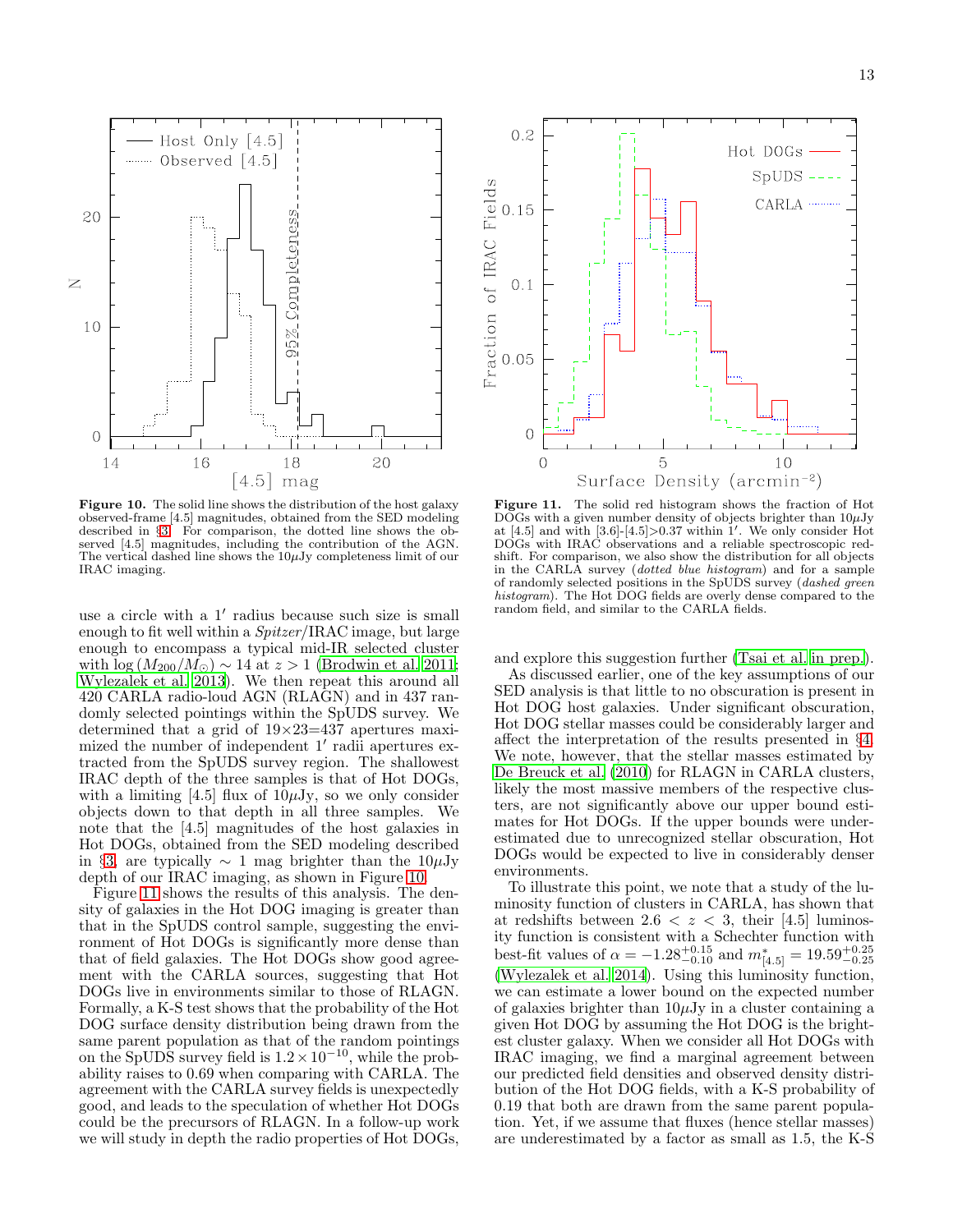Host Only  $[4.5]$ ...... Observed [4.5] Completeness 20  $\simeq$ 95% 10  $\mathbf 0$ 16 20 14 18  $\lceil 4.5 \rceil$  mag

<span id="page-12-0"></span>Figure 10. The solid line shows the distribution of the host galaxy observed-frame [4.5] magnitudes, obtained from the SED modeling described in §[3.](#page-3-0) For comparison, the dotted line shows the observed [4.5] magnitudes, including the contribution of the AGN. The vertical dashed line shows the  $10\mu$ Jy completeness limit of our IRAC imaging.

use a circle with a 1′ radius because such size is small enough to fit well within a  $Spitzer/IRAC$  image, but large enough to encompass a typical mid-IR selected cluster with  $\log(M_{200}/M_{\odot}) \sim 14$  at  $z > 1$  [\(Brodwin et al. 2011;](#page-14-61) [Wylezalek et al. 2013\)](#page-15-23). We then repeat this around all 420 CARLA radio-loud AGN (RLAGN) and in 437 randomly selected pointings within the SpUDS survey. We determined that a grid of  $19 \times 23 = 437$  apertures maximized the number of independent 1′ radii apertures extracted from the SpUDS survey region. The shallowest IRAC depth of the three samples is that of Hot DOGs, with a limiting  $[4.5]$  flux of  $10\mu\text{Jy}$ , so we only consider objects down to that depth in all three samples. We note that the [4.5] magnitudes of the host galaxies in Hot DOGs, obtained from the SED modeling described in §[3,](#page-3-0) are typically  $\sim 1$  mag brighter than the 10µJy depth of our IRAC imaging, as shown in Figure [10.](#page-12-0)

Figure [11](#page-12-1) shows the results of this analysis. The density of galaxies in the Hot DOG imaging is greater than that in the SpUDS control sample, suggesting the environment of Hot DOGs is significantly more dense than that of field galaxies. The Hot DOGs show good agreement with the CARLA sources, suggesting that Hot DOGs live in environments similar to those of RLAGN. Formally, a K-S test shows that the probability of the Hot DOG surface density distribution being drawn from the same parent population as that of the random pointings on the SpUDS survey field is  $1.2 \times 10^{-10}$ , while the probability raises to 0.69 when comparing with CARLA. The agreement with the CARLA survey fields is unexpectedly good, and leads to the speculation of whether Hot DOGs could be the precursors of RLAGN. In a follow-up work we will study in depth the radio properties of Hot DOGs,



<span id="page-12-1"></span>Figure 11. The solid red histogram shows the fraction of Hot  $D\overline{O}$ Gs with a given number density of objects brighter than  $10\mu$ Jy at [4.5] and with [3.6]-[4.5]>0.37 within 1′ . We only consider Hot DOGs with IRAC observations and a reliable spectroscopic redshift. For comparison, we also show the distribution for all objects in the CARLA survey (dotted blue histogram) and for a sample of randomly selected positions in the SpUDS survey (dashed green histogram). The Hot DOG fields are overly dense compared to the random field, and similar to the CARLA fields.

and explore this suggestion further [\(Tsai et al. in prep.](#page-15-25)).

As discussed earlier, one of the key assumptions of our SED analysis is that little to no obscuration is present in Hot DOG host galaxies. Under significant obscuration, Hot DOG stellar masses could be considerably larger and affect the interpretation of the results presented in §[4.](#page-5-0) We note, however, that the stellar masses estimated by [De Breuck et al. \(2010\)](#page-14-62) for RLAGN in CARLA clusters, likely the most massive members of the respective clusters, are not significantly above our upper bound estimates for Hot DOGs. If the upper bounds were underestimated due to unrecognized stellar obscuration, Hot DOGs would be expected to live in considerably denser environments.

To illustrate this point, we note that a study of the luminosity function of clusters in CARLA, has shown that at redshifts between  $2.6 < z < 3$ , their [4.5] luminosity function is consistent with a Schechter function with best-fit values of  $\alpha = -1.28_{-0.10}^{+0.15}$  and  $m^*_{[4.5]} = 19.59_{-0.25}^{+0.25}$ [\(Wylezalek et al. 2014\)](#page-15-24). Using this luminosity function, we can estimate a lower bound on the expected number of galaxies brighter than  $10\mu\text{Jy}$  in a cluster containing a given Hot DOG by assuming the Hot DOG is the brightest cluster galaxy. When we consider all Hot DOGs with IRAC imaging, we find a marginal agreement between our predicted field densities and observed density distribution of the Hot DOG fields, with a K-S probability of 0.19 that both are drawn from the same parent population. Yet, if we assume that fluxes (hence stellar masses) are underestimated by a factor as small as 1.5, the K-S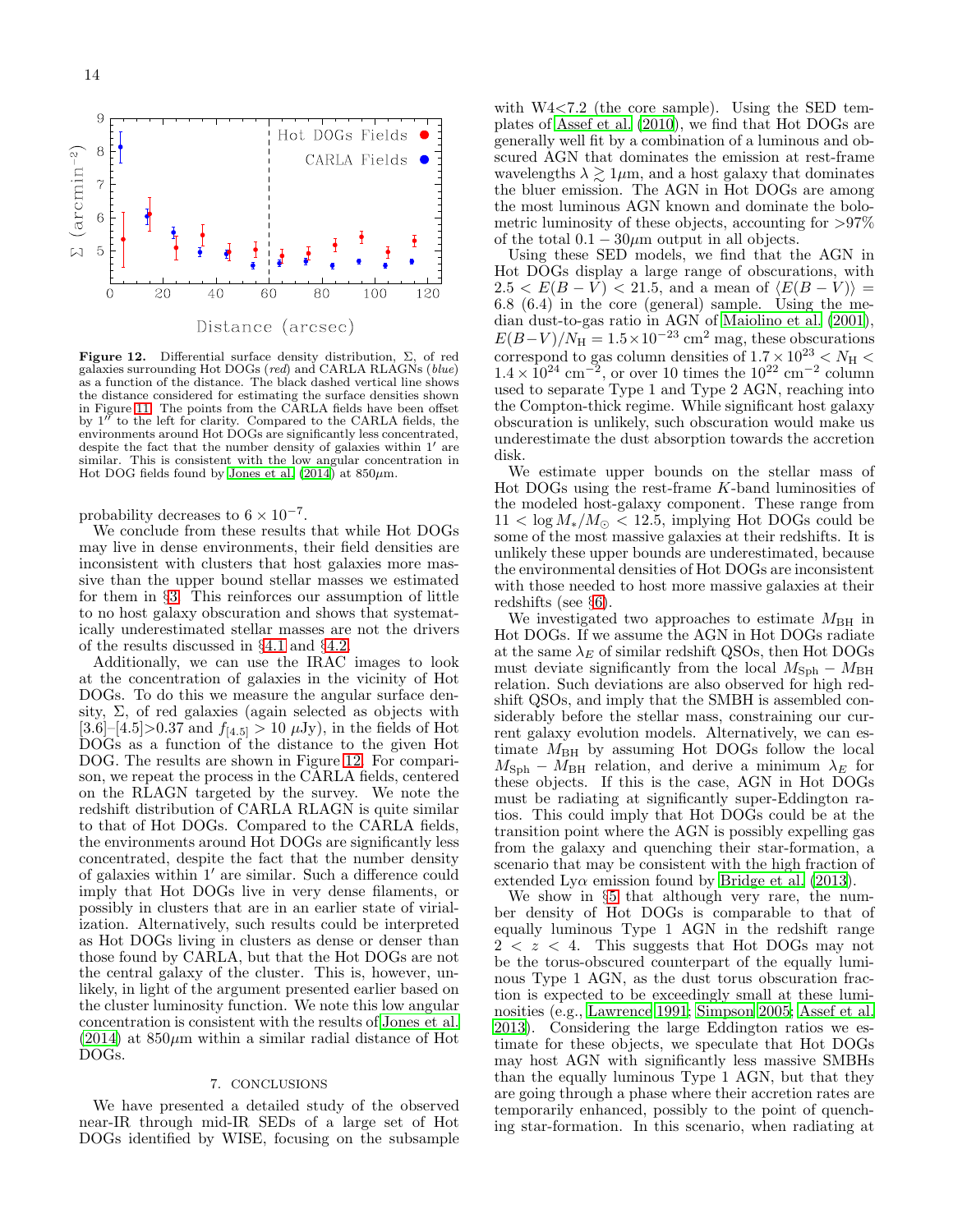

<span id="page-13-0"></span>Figure 12. Differential surface density distribution,  $\Sigma$ , of red galaxies surrounding Hot DOGs (red) and CARLA RLAGNs (blue) as a function of the distance. The black dashed vertical line shows the distance considered for estimating the surface densities shown in Figure [11.](#page-12-1) The points from the CARLA fields have been offset by 1′′ to the left for clarity. Compared to the CARLA fields, the environments around Hot DOGs are significantly less concentrated, despite the fact that the number density of galaxies within 1′ are similar. This is consistent with the low angular concentration in Hot DOG fields found by Jones et al.  $(2014)$  at  $850 \mu m$ .

probability decreases to  $6 \times 10^{-7}$ .

We conclude from these results that while Hot DOGs may live in dense environments, their field densities are inconsistent with clusters that host galaxies more massive than the upper bound stellar masses we estimated for them in §[3.](#page-3-0) This reinforces our assumption of little to no host galaxy obscuration and shows that systematically underestimated stellar masses are not the drivers of the results discussed in §[4.1](#page-7-2) and §[4.2.](#page-8-1)

Additionally, we can use the IRAC images to look at the concentration of galaxies in the vicinity of Hot DOGs. To do this we measure the angular surface density,  $\Sigma$ , of red galaxies (again selected as objects with  $[3.6]$ – $[4.5]$ >0.37 and  $f_{[4.5]} > 10 \mu Jy$ , in the fields of Hot DOGs as a function of the distance to the given Hot DOG. The results are shown in Figure [12.](#page-13-0) For comparison, we repeat the process in the CARLA fields, centered on the RLAGN targeted by the survey. We note the redshift distribution of CARLA RLAGN is quite similar to that of Hot DOGs. Compared to the CARLA fields, the environments around Hot DOGs are significantly less concentrated, despite the fact that the number density of galaxies within 1′ are similar. Such a difference could imply that Hot DOGs live in very dense filaments, or possibly in clusters that are in an earlier state of virialization. Alternatively, such results could be interpreted as Hot DOGs living in clusters as dense or denser than those found by CARLA, but that the Hot DOGs are not the central galaxy of the cluster. This is, however, unlikely, in light of the argument presented earlier based on the cluster luminosity function. We note this low angular concentration is consistent with the results of [Jones et al.](#page-14-12)  $(2014)$  at  $850\mu$ m within a similar radial distance of Hot DOGs.

### 7. CONCLUSIONS

We have presented a detailed study of the observed near-IR through mid-IR SEDs of a large set of Hot DOGs identified by WISE, focusing on the subsample

with W4<7.2 (the core sample). Using the SED templates of [Assef et al. \(2010\)](#page-14-25), we find that Hot DOGs are generally well fit by a combination of a luminous and obscured AGN that dominates the emission at rest-frame wavelengths  $\lambda \gtrsim 1 \mu m$ , and a host galaxy that dominates the bluer emission. The AGN in Hot DOGs are among the most luminous AGN known and dominate the bolometric luminosity of these objects, accounting for  $>97\%$ of the total  $0.1 - 30 \mu m$  output in all objects.

Using these SED models, we find that the AGN in Hot DOGs display a large range of obscurations, with  $2.5 < E(B-V) < 21.5$ , and a mean of  $\langle E(B-V) \rangle$  = 6.8 (6.4) in the core (general) sample. Using the median dust-to-gas ratio in AGN of [Maiolino et al. \(2001](#page-14-40)),  $E(B-V)/N_{\rm H} = 1.5 \times 10^{-23}$  cm<sup>2</sup> mag, these obscurations correspond to gas column densities of  $1.7 \times 10^{23} < N_{\rm H} <$  $1.4 \times 10^{24}$  cm<sup>-2</sup>, or over 10 times the 10<sup>22</sup> cm<sup>-2</sup> column used to separate Type 1 and Type 2 AGN, reaching into the Compton-thick regime. While significant host galaxy obscuration is unlikely, such obscuration would make us underestimate the dust absorption towards the accretion disk.

We estimate upper bounds on the stellar mass of Hot DOGs using the rest-frame  $K$ -band luminosities of the modeled host-galaxy component. These range from  $11 < \log M_*/M_{\odot} < 12.5$ , implying Hot DOGs could be some of the most massive galaxies at their redshifts. It is unlikely these upper bounds are underestimated, because the environmental densities of Hot DOGs are inconsistent with those needed to host more massive galaxies at their redshifts (see §[6\)](#page-11-0).

We investigated two approaches to estimate  $M_{\rm BH}$  in Hot DOGs. If we assume the AGN in Hot DOGs radiate at the same  $\lambda_E$  of similar redshift QSOs, then Hot DOGs must deviate significantly from the local  $M_{\rm Sph}$  –  $M_{\rm BH}$ relation. Such deviations are also observed for high redshift QSOs, and imply that the SMBH is assembled considerably before the stellar mass, constraining our current galaxy evolution models. Alternatively, we can estimate  $M_{\rm BH}$  by assuming Hot DOGs follow the local  $M_{\rm Sph} - M_{\rm BH}$  relation, and derive a minimum  $\lambda_E$  for these objects. If this is the case, AGN in Hot DOGs must be radiating at significantly super-Eddington ratios. This could imply that Hot DOGs could be at the transition point where the AGN is possibly expelling gas from the galaxy and quenching their star-formation, a scenario that may be consistent with the high fraction of extended Ly $\alpha$  emission found by [Bridge et al. \(2013](#page-14-11)).

We show in §[5](#page-9-0) that although very rare, the number density of Hot DOGs is comparable to that of equally luminous Type 1 AGN in the redshift range  $2 < z < 4$ . This suggests that Hot DOGs may not be the torus-obscured counterpart of the equally luminous Type 1 AGN, as the dust torus obscuration fraction is expected to be exceedingly small at these luminosities (e.g., [Lawrence 1991;](#page-14-58) [Simpson 2005;](#page-15-21) [Assef et al.](#page-14-28) [2013\)](#page-14-28). Considering the large Eddington ratios we estimate for these objects, we speculate that Hot DOGs may host AGN with significantly less massive SMBHs than the equally luminous Type 1 AGN, but that they are going through a phase where their accretion rates are temporarily enhanced, possibly to the point of quenching star-formation. In this scenario, when radiating at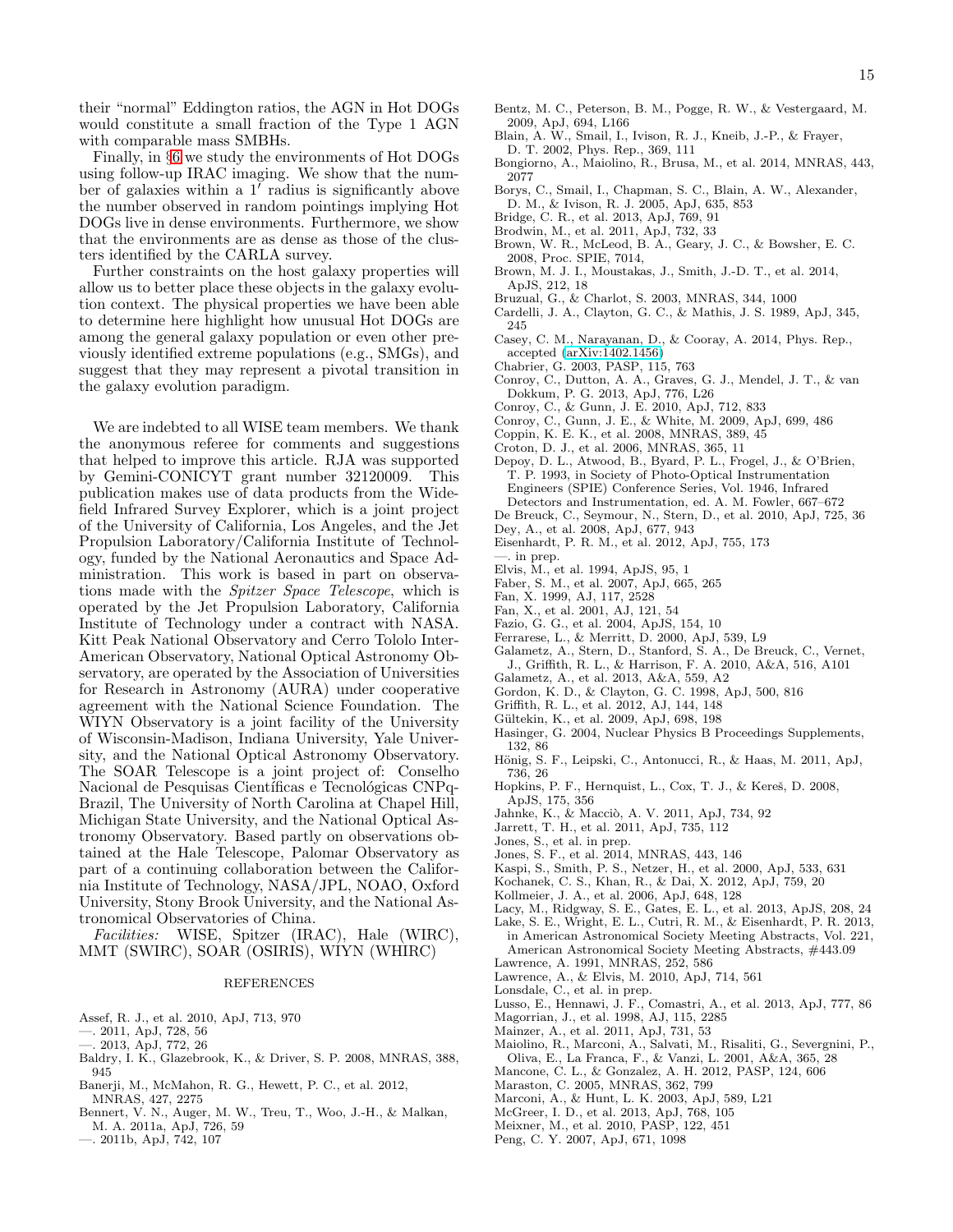their "normal" Eddington ratios, the AGN in Hot DOGs would constitute a small fraction of the Type 1 AGN with comparable mass SMBHs.

Finally, in §[6](#page-11-0) we study the environments of Hot DOGs using follow-up IRAC imaging. We show that the number of galaxies within a 1<sup>7</sup> radius is significantly above the number observed in random pointings implying Hot DOGs live in dense environments. Furthermore, we show that the environments are as dense as those of the clusters identified by the CARLA survey.

Further constraints on the host galaxy properties will allow us to better place these objects in the galaxy evolution context. The physical properties we have been able to determine here highlight how unusual Hot DOGs are among the general galaxy population or even other previously identified extreme populations (e.g., SMGs), and suggest that they may represent a pivotal transition in the galaxy evolution paradigm.

We are indebted to all WISE team members. We thank the anonymous referee for comments and suggestions that helped to improve this article. RJA was supported by Gemini-CONICYT grant number 32120009. This publication makes use of data products from the Widefield Infrared Survey Explorer, which is a joint project of the University of California, Los Angeles, and the Jet Propulsion Laboratory/California Institute of Technology, funded by the National Aeronautics and Space Administration. This work is based in part on observations made with the Spitzer Space Telescope, which is operated by the Jet Propulsion Laboratory, California Institute of Technology under a contract with NASA. Kitt Peak National Observatory and Cerro Tololo Inter-American Observatory, National Optical Astronomy Observatory, are operated by the Association of Universities for Research in Astronomy (AURA) under cooperative agreement with the National Science Foundation. The WIYN Observatory is a joint facility of the University of Wisconsin-Madison, Indiana University, Yale University, and the National Optical Astronomy Observatory. The SOAR Telescope is a joint project of: Conselho Nacional de Pesquisas Científicas e Tecnológicas CNPq-Brazil, The University of North Carolina at Chapel Hill, Michigan State University, and the National Optical Astronomy Observatory. Based partly on observations obtained at the Hale Telescope, Palomar Observatory as part of a continuing collaboration between the California Institute of Technology, NASA/JPL, NOAO, Oxford University, Stony Brook University, and the National Astronomical Observatories of China.

Facilities: WISE, Spitzer (IRAC), Hale (WIRC), MMT (SWIRC), SOAR (OSIRIS), WIYN (WHIRC)

#### REFERENCES

- <span id="page-14-25"></span>Assef, R. J., et al. 2010, ApJ, 713, 970
- <span id="page-14-39"></span>—. 2011, ApJ, 728, 56
- <span id="page-14-28"></span>—. 2013, ApJ, 772, 26
- <span id="page-14-41"></span>Baldry, I. K., Glazebrook, K., & Driver, S. P. 2008, MNRAS, 388, 945
- <span id="page-14-53"></span>Banerji, M., McMahon, R. G., Hewett, P. C., et al. 2012, MNRAS, 427, 2275
- <span id="page-14-37"></span>Bennert, V. N., Auger, M. W., Treu, T., Woo, J.-H., & Malkan, M. A. 2011a, ApJ, 726, 59
- <span id="page-14-43"></span>—. 2011b, ApJ, 742, 107
- <span id="page-14-4"></span>Bentz, M. C., Peterson, B. M., Pogge, R. W., & Vestergaard, M. 2009, ApJ, 694, L166
- <span id="page-14-7"></span>Blain, A. W., Smail, I., Ivison, R. J., Kneib, J.-P., & Frayer, D. T. 2002, Phys. Rep., 369, 111
- <span id="page-14-46"></span>Bongiorno, A., Maiolino, R., Brusa, M., et al. 2014, MNRAS, 443, 2077
- <span id="page-14-45"></span>Borys, C., Smail, I., Chapman, S. C., Blain, A. W., Alexander,
- D. M., & Ivison, R. J. 2005, ApJ, 635, 853 Bridge, C. R., et al. 2013, ApJ, 769, 91
- <span id="page-14-61"></span><span id="page-14-11"></span>Brodwin, M., et al. 2011, ApJ, 732, 33
- <span id="page-14-24"></span>Brown, W. R., McLeod, B. A., Geary, J. C., & Bowsher, E. C. 2008, Proc. SPIE, 7014,
- <span id="page-14-19"></span>Brown, M. J. I., Moustakas, J., Smith, J.-D. T., et al. 2014, ApJS, 212, 18
- <span id="page-14-30"></span>Bruzual, G., & Charlot, S. 2003, MNRAS, 344, 1000
- Cardelli, J. A., Clayton, G. C., & Mathis, J. S. 1989, ApJ, 345, 245
- <span id="page-14-8"></span>Casey, C. M., Narayanan, D., & Cooray, A. 2014, Phys. Rep., accepted [\(arXiv:1402.1456\)](http://arxiv.org/abs/1402.1456)
- <span id="page-14-35"></span>Chabrier, G. 2003, PASP, 115, 763
- <span id="page-14-34"></span>Conroy, C., Dutton, A. A., Graves, G. J., Mendel, J. T., & van Dokkum, P. G. 2013, ApJ, 776, L26
- <span id="page-14-33"></span>Conroy, C., & Gunn, J. E. 2010, ApJ, 712, 833
- <span id="page-14-32"></span>Conroy, C., Gunn, J. E., & White, M. 2009, ApJ, 699, 486
- <span id="page-14-44"></span>Coppin, K. E. K., et al. 2008, MNRAS, 389, 45
- <span id="page-14-42"></span>Croton, D. J., et al. 2006, MNRAS, 365, 11
- <span id="page-14-23"></span>Depoy, D. L., Atwood, B., Byard, P. L., Frogel, J., & O'Brien, T. P. 1993, in Society of Photo-Optical Instrumentation Engineers (SPIE) Conference Series, Vol. 1946, Infrared Detectors and Instrumentation, ed. A. M. Fowler, 667–672
- <span id="page-14-62"></span>De Breuck, C., Seymour, N., Stern, D., et al. 2010, ApJ, 725, 36
- <span id="page-14-9"></span>Dey, A., et al. 2008, ApJ, 677, 943
- 
- <span id="page-14-10"></span>Eisenhardt, P. R. M., et al. 2012, ApJ, 755, 173
- <span id="page-14-13"></span>—. in prep.
- <span id="page-14-38"></span>Elvis, M., et al. 1994, ApJS, 95, 1 Faber, S. M., et al. 2007, ApJ, 665, 265
- <span id="page-14-51"></span><span id="page-14-6"></span>Fan, X. 1999, AJ, 117, 2528
- 
- <span id="page-14-49"></span>Fan, X., et al. 2001, AJ, 121, 54 Fazio, G. G., et al. 2004, ApJS, 154, 10
- <span id="page-14-20"></span><span id="page-14-2"></span>Ferrarese, L., & Merritt, D. 2000, ApJ, 539, L9
- 
- <span id="page-14-59"></span>Galametz, A., Stern, D., Stanford, S. A., De Breuck, C., Vernet, J., Griffith, R. L., & Harrison, F. A. 2010, A&A, 516, A101
- <span id="page-14-60"></span>Galametz, A., et al. 2013, A&A, 559, A2
- Gordon, K. D., & Clayton, G. C. 1998, ApJ, 500, 816
- <span id="page-14-21"></span>Griffith, R. L., et al. 2012, AJ, 144, 148
- <span id="page-14-5"></span>Gültekin, K., et al. 2009, ApJ, 698, 198
- <span id="page-14-52"></span>Hasinger, G. 2004, Nuclear Physics B Proceedings Supplements, 132, 86
- <span id="page-14-55"></span>Hönig, S. F., Leipski, C., Antonucci, R., & Haas, M. 2011, ApJ, 736, 26
- <span id="page-14-0"></span>Hopkins, P. F., Hernquist, L., Cox, T. J., & Kereš, D. 2008, ApJS, 175, 356
- <span id="page-14-48"></span>Jahnke, K., & Macciò, A. V. 2011, ApJ, 734, 92
- <span id="page-14-16"></span>Jarrett, T. H., et al. 2011, ApJ, 735, 112
- <span id="page-14-15"></span>Jones, S., et al. in prep.
- <span id="page-14-12"></span>Jones, S. F., et al. 2014, MNRAS, 443, 146
- <span id="page-14-27"></span>Kaspi, S., Smith, P. S., Netzer, H., et al. 2000, ApJ, 533, 631
- <span id="page-14-26"></span>Kochanek, C. S., Khan, R., & Dai, X. 2012, ApJ, 759, 20
- <span id="page-14-36"></span>Kollmeier, J. A., et al. 2006, ApJ, 648, 128
- <span id="page-14-57"></span><span id="page-14-18"></span>Lacy, M., Ridgway, S. E., Gates, E. L., et al. 2013, ApJS, 208, 24 Lake, S. E., Wright, E. L., Cutri, R. M., & Eisenhardt, P. R. 2013, in American Astronomical Society Meeting Abstracts, Vol. 221, American Astronomical Society Meeting Abstracts, #443.09
- <span id="page-14-58"></span>Lawrence, A. 1991, MNRAS, 252, 586
- <span id="page-14-56"></span>Lawrence, A., & Elvis, M. 2010, ApJ, 714, 561
- <span id="page-14-14"></span>Lonsdale, C., et al. in prep.
- <span id="page-14-54"></span>Lusso, E., Hennawi, J. F., Comastri, A., et al. 2013, ApJ, 777, 86
- <span id="page-14-1"></span>Magorrian, J., et al. 1998, AJ, 115, 2285
- <span id="page-14-17"></span>Mainzer, A., et al. 2011, ApJ, 731, 53
- <span id="page-14-40"></span>Maiolino, R., Marconi, A., Salvati, M., Risaliti, G., Severgnini, P., Oliva, E., La Franca, F., & Vanzi, L. 2001, A&A, 365, 28
- <span id="page-14-29"></span>Mancone, C. L., & Gonzalez, A. H. 2012, PASP, 124, 606
- <span id="page-14-31"></span>Maraston, C. 2005, MNRAS, 362, 799
- <span id="page-14-3"></span>Marconi, A., & Hunt, L. K. 2003, ApJ, 589, L21
- <span id="page-14-50"></span>McGreer, I. D., et al. 2013, ApJ, 768, 105
- <span id="page-14-22"></span>Meixner, M., et al. 2010, PASP, 122, 451
- <span id="page-14-47"></span>Peng, C. Y. 2007, ApJ, 671, 1098